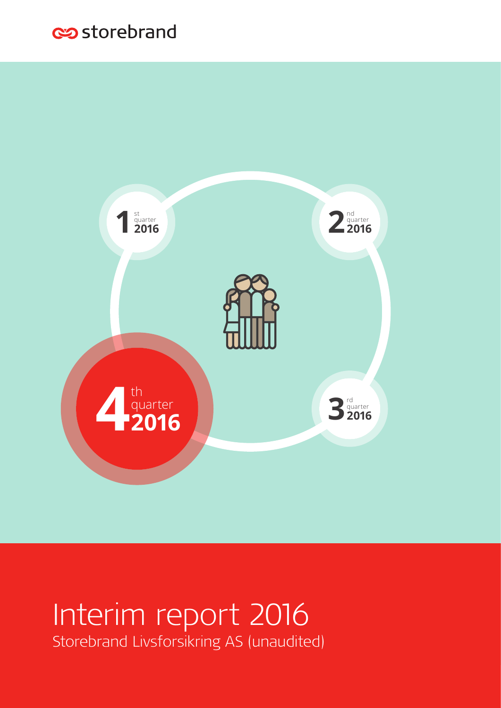# es storebrand



# Interim report 2016 Storebrand Livsforsikring AS (unaudited)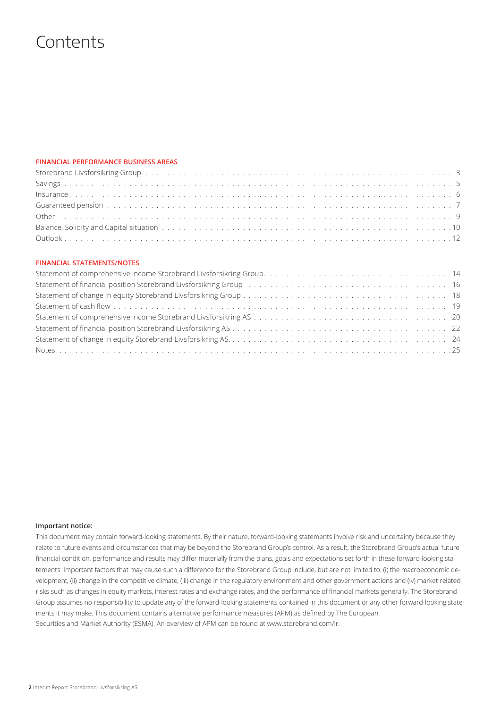### **Contents**

### **FINANCIAL PERFORMANCE BUSINESS AREAS**

| Storebrand Livsforsikring Group by the content of the content of the content of the content of the content of the content of the content of the content of the content of the content of the content of the content of the con |  |
|--------------------------------------------------------------------------------------------------------------------------------------------------------------------------------------------------------------------------------|--|
|                                                                                                                                                                                                                                |  |
|                                                                                                                                                                                                                                |  |
| Guaranteed pension (and a series of the control of the control of the control of the control of the control of the control of the control of the control of the control of the control of the control of the control of the co |  |
|                                                                                                                                                                                                                                |  |
|                                                                                                                                                                                                                                |  |
|                                                                                                                                                                                                                                |  |

### **FINANCIAL STATEMENTS/NOTES**

| Statement of financial position Storebrand Livsforsikring Group (and all conditions of the condition of financial position Storebrand Livsforsikring Group (and all conditions of the conditions of the conditions of the cond |  |
|--------------------------------------------------------------------------------------------------------------------------------------------------------------------------------------------------------------------------------|--|
|                                                                                                                                                                                                                                |  |
|                                                                                                                                                                                                                                |  |
|                                                                                                                                                                                                                                |  |
|                                                                                                                                                                                                                                |  |
|                                                                                                                                                                                                                                |  |
|                                                                                                                                                                                                                                |  |

#### **Important notice:**

This document may contain forward-looking statements. By their nature, forward-looking statements involve risk and uncertainty because they relate to future events and circumstances that may be beyond the Storebrand Group's control. As a result, the Storebrand Group's actual future financial condition, performance and results may differ materially from the plans, goals and expectations set forth in these forward-looking statements. Important factors that may cause such a difference for the Storebrand Group include, but are not limited to: (i) the macroeconomic development, (ii) change in the competitive climate, (iii) change in the regulatory environment and other government actions and (iv) market related risks such as changes in equity markets, interest rates and exchange rates, and the performance of financial markets generally. The Storebrand Group assumes no responsibility to update any of the forward-looking statements contained in this document or any other forward-looking statements it may make.This document contains alternative performance measures (APM) as defined by The European Securities and Market Authority (ESMA). An overview of APM can be found at www.storebrand.com/ir.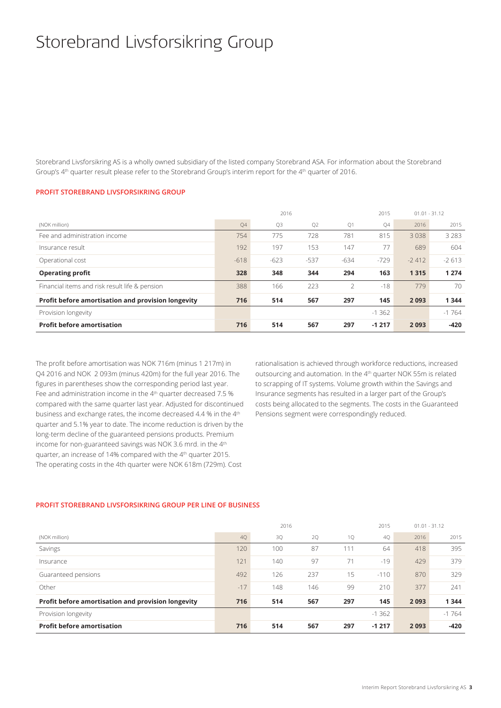# Storebrand Livsforsikring Group

Storebrand Livsforsikring AS is a wholly owned subsidiary of the listed company Storebrand ASA. For information about the Storebrand Group's 4th quarter result please refer to the Storebrand Group's interim report for the 4th quarter of 2016.

### **PROFIT STOREBRAND LIVSFORSIKRING GROUP**

|                                                    |        | 2016   |        |                          | 2015      |         | $01.01 - 31.12$ |
|----------------------------------------------------|--------|--------|--------|--------------------------|-----------|---------|-----------------|
| (NOK million)                                      | Q4     | Q3     | Q2     | Q1                       | <b>O4</b> | 2016    | 2015            |
| Fee and administration income                      | 754    | 775    | 728    | 781                      | 815       | 3038    | 3283            |
| Insurance result                                   | 192    | 197    | 153    | 147                      | 77        | 689     | 604             |
| Operational cost                                   | $-618$ | $-623$ | $-537$ | $-634$                   | $-729$    | $-2412$ | $-2613$         |
| <b>Operating profit</b>                            | 328    | 348    | 344    | 294                      | 163       | 1315    | 1 2 7 4         |
| Financial items and risk result life & pension     | 388    | 166    | 223    | $\overline{\phantom{a}}$ | $-18$     | 779     | 70              |
| Profit before amortisation and provision longevity | 716    | 514    | 567    | 297                      | 145       | 2093    | 1344            |
| Provision longevity                                |        |        |        |                          | $-1.362$  |         | $-1764$         |
| <b>Profit before amortisation</b>                  | 716    | 514    | 567    | 297                      | $-1217$   | 2093    | $-420$          |

The profit before amortisation was NOK 716m (minus 1 217m) in Q4 2016 and NOK 2 093m (minus 420m) for the full year 2016. The figures in parentheses show the corresponding period last year. Fee and administration income in the 4<sup>th</sup> quarter decreased 7.5 % compared with the same quarter last year. Adjusted for discontinued business and exchange rates, the income decreased 4.4 % in the 4<sup>th</sup> quarter and 5.1% year to date. The income reduction is driven by the long-term decline of the guaranteed pensions products. Premium income for non-guaranteed savings was NOK 3.6 mrd. in the 4<sup>th</sup> quarter, an increase of 14% compared with the 4th quarter 2015. The operating costs in the 4th quarter were NOK 618m (729m). Cost

rationalisation is achieved through workforce reductions, increased outsourcing and automation. In the 4<sup>th</sup> quarter NOK 55m is related to scrapping of IT systems. Volume growth within the Savings and Insurance segments has resulted in a larger part of the Group's costs being allocated to the segments. The costs in the Guaranteed Pensions segment were correspondingly reduced.

### **PROFIT STOREBRAND LIVSFORSIKRING GROUP PER LINE OF BUSINESS**

|                                                    |       | 2016 |     |     | 2015    | $01.01 - 31.12$ |         |
|----------------------------------------------------|-------|------|-----|-----|---------|-----------------|---------|
| (NOK million)                                      | 4Q    | 3Q   | 2Q  | 1Q  | 4Q      | 2016            | 2015    |
| Savings                                            | 120   | 100  | 87  | 111 | 64      | 418             | 395     |
| Insurance                                          | 121   | 140  | 97  | 71  | $-19$   | 429             | 379     |
| Guaranteed pensions                                | 492   | 126  | 237 | 15  | $-110$  | 870             | 329     |
| Other                                              | $-17$ | 148  | 146 | 99  | 210     | 377             | 241     |
| Profit before amortisation and provision longevity | 716   | 514  | 567 | 297 | 145     | 2093            | 1344    |
| Provision longevity                                |       |      |     |     | $-1362$ |                 | $-1764$ |
| <b>Profit before amortisation</b>                  | 716   | 514  | 567 | 297 | $-1217$ | 2093            | -420    |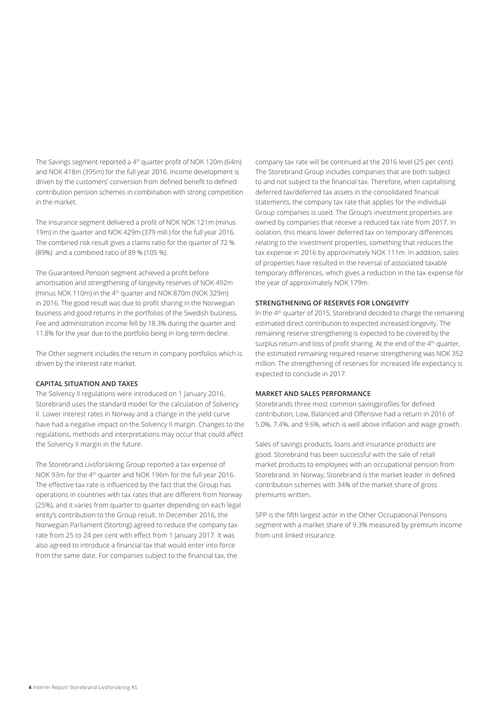The Savings segment reported a 4<sup>th</sup> quarter profit of NOK 120m (64m) and NOK 418m (395m) for the full year 2016. Income development is driven by the customers' conversion from defined benefit to defined contribution pension schemes in combination with strong competition in the market.

The Insurance segment delivered a profit of NOK NOK 121m (minus 19m) in the quarter and NOK 429m (379 mill.) for the full year 2016. The combined risk result gives a claims ratio for the quarter of 72 % (89%) and a combined ratio of 89 % (105 %).

The Guaranteed Pension segment achieved a profit before amortisation and strengthening of longevity reserves of NOK 492m (minus NOK 110m) in the 4<sup>th</sup> quarter and NOK 870m (NOK 329m) in 2016. The good result was due to profit sharing in the Norwegian business and good returns in the portfolios of the Swedish business. Fee and administration income fell by 18.3% during the quarter and 11.8% for the year due to the portfolio being in long-term decline.

The Other segment includes the return in company portfolios which is driven by the interest rate market.

### **CAPITAL SITUATION AND TAXES**

The Solvency II regulations were introduced on 1 January 2016. Storebrand uses the standard model for the calculation of Solvency II. Lower interest rates in Norway and a change in the yield curve have had a negative impact on the Solvency II margin. Changes to the regulations, methods and interpretations may occur that could affect the Solvency II margin in the future.

The Storebrand Livsforsikring Group reported a tax expense of NOK 93m for the 4th quarter and NOK 196m for the full year 2016. The effective tax rate is influenced by the fact that the Group has operations in countries with tax rates that are different from Norway (25%), and it varies from quarter to quarter depending on each legal entity's contribution to the Group result. In December 2016, the Norwegian Parliament (Storting) agreed to reduce the company tax rate from 25 to 24 per cent with effect from 1 January 2017. It was also agreed to introduce a financial tax that would enter into force from the same date. For companies subject to the financial tax, the

company tax rate will be continued at the 2016 level (25 per cent). The Storebrand Group includes companies that are both subject to and not subject to the financial tax. Therefore, when capitalising deferred tax/deferred tax assets in the consolidated financial statements, the company tax rate that applies for the individual Group companies is used. The Group's investment properties are owned by companies that receive a reduced tax rate from 2017. In isolation, this means lower deferred tax on temporary differences relating to the investment properties, something that reduces the tax expense in 2016 by approximately NOK 111m. In addition, sales of properties have resulted in the reversal of associated taxable temporary differences, which gives a reduction in the tax expense for the year of approximately NOK 179m.

### **STRENGTHENING OF RESERVES FOR LONGEVITY**

In the 4th quarter of 2015, Storebrand decided to charge the remaining estimated direct contribution to expected increased longevity. The remaining reserve strengthening is expected to be covered by the surplus return and loss of profit sharing. At the end of the 4<sup>th</sup> quarter, the estimated remaining required reserve strengthening was NOK 352 million. The strengthening of reserves for increased life expectancy is expected to conclude in 2017.

### **MARKET AND SALES PERFORMANCE**

Storebrands three most common savingprofiles for defined contribution, Low, Balanced and Offensive had a return in 2016 of 5.0%, 7.4%, and 9.6%, which is well above inflation and wage growth.

Sales of savings products, loans and insurance products are good. Storebrand has been successful with the sale of retail market products to employees with an occupational pension from Storebrand. In Norway, Storebrand is the market leader in defined contribution schemes with 34% of the market share of gross premiums written.

SPP is the fifth largest actor in the Other Occupational Pensions segment with a market share of 9.3% measured by premium income from unit linked insurance.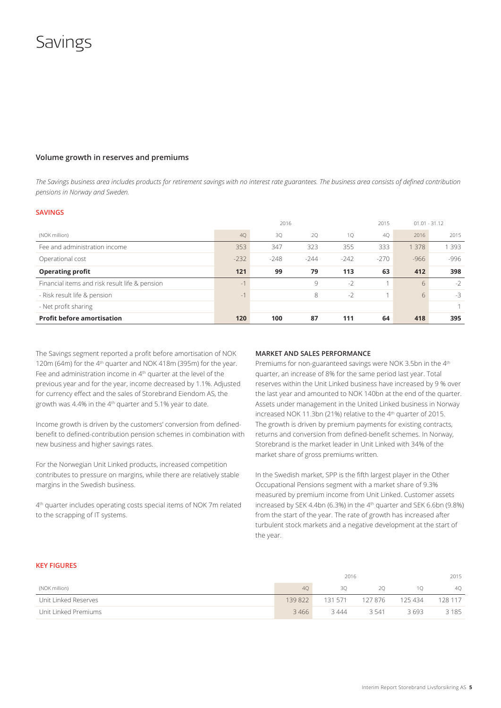### **Savings**

### **Volume growth in reserves and premiums**

*The Savings business area includes products for retirement savings with no interest rate guarantees. The business area consists of defined contribution pensions in Norway and Sweden.* 

#### **SAVINGS**

|                                                |           | 2016   |        |        | 2015   | $01.01 - 31.12$ |       |
|------------------------------------------------|-----------|--------|--------|--------|--------|-----------------|-------|
| (NOK million)                                  | <b>40</b> | 3Q     | 20     | 10     | 40     | 2016            | 2015  |
| Fee and administration income                  | 353       | 347    | 323    | 355    | 333    | 1 3 7 8         | 1 393 |
| Operational cost                               | $-232$    | $-248$ | $-244$ | $-242$ | $-270$ | $-966$          | -996  |
| <b>Operating profit</b>                        | 121       | 99     | 79     | 113    | 63     | 412             | 398   |
| Financial items and risk result life & pension | $-1$      |        | 9      | $-2$   |        | 6               | $-2$  |
| - Risk result life & pension                   | $-1$      |        | 8      | $-2$   |        | 6               | $-3$  |
| - Net profit sharing                           |           |        |        |        |        |                 |       |
| <b>Profit before amortisation</b>              | 120       | 100    | 87     | 111    | 64     | 418             | 395   |

The Savings segment reported a profit before amortisation of NOK 120m (64m) for the 4<sup>th</sup> quarter and NOK 418m (395m) for the year. Fee and administration income in 4<sup>th</sup> quarter at the level of the previous year and for the year, income decreased by 1.1%. Adjusted for currency effect and the sales of Storebrand Eiendom AS, the growth was 4.4% in the  $4<sup>th</sup>$  quarter and 5.1% year to date.

Income growth is driven by the customers' conversion from definedbenefit to defined-contribution pension schemes in combination with new business and higher savings rates.

For the Norwegian Unit Linked products, increased competition contributes to pressure on margins, while there are relatively stable margins in the Swedish business.

4th quarter includes operating costs special items of NOK 7m related to the scrapping of IT systems.

#### **MARKET AND SALES PERFORMANCE**

Premiums for non-guaranteed savings were NOK 3.5bn in the 4<sup>th</sup> quarter, an increase of 8% for the same period last year. Total reserves within the Unit Linked business have increased by 9 % over the last year and amounted to NOK 140bn at the end of the quarter. Assets under management in the United Linked business in Norway increased NOK 11.3bn (21%) relative to the 4<sup>th</sup> quarter of 2015. The growth is driven by premium payments for existing contracts, returns and conversion from defined-benefit schemes. In Norway, Storebrand is the market leader in Unit Linked with 34% of the market share of gross premiums written.

In the Swedish market, SPP is the fifth largest player in the Other Occupational Pensions segment with a market share of 9.3% measured by premium income from Unit Linked. Customer assets increased by SEK 4.4bn (6.3%) in the  $4<sup>th</sup>$  quarter and SEK 6.6bn (9.8%) from the start of the year. The rate of growth has increased after turbulent stock markets and a negative development at the start of the year.

### **KEY FIGURES**

|                      | 2016    |         |        |         | 2015    |
|----------------------|---------|---------|--------|---------|---------|
| (NOK million)        | 40      | 30      | 20     |         | 40      |
| Unit Linked Reserves | 139 822 | 131 571 | 127876 | 125 434 | 128 117 |
| Unit Linked Premiums | 3466    | 3444    | 3.541  | 3693    | 3185    |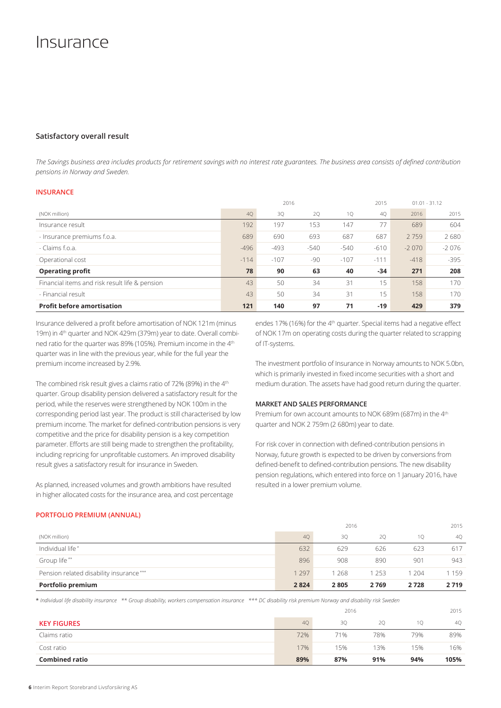### Insurance

### **Satisfactory overall result**

*The Savings business area includes products for retirement savings with no interest rate guarantees. The business area consists of defined contribution pensions in Norway and Sweden.* 

### **INSURANCE**

|                                                |        | 2016   |        |        | 2015   |         | $01.01 - 31.12$ |
|------------------------------------------------|--------|--------|--------|--------|--------|---------|-----------------|
| (NOK million)                                  | 4Q     | 3Q     | 2Q     | 1Q     | 40     | 2016    | 2015            |
| Insurance result                               | 192    | 197    | 153    | 147    | 77     | 689     | 604             |
| - Insurance premiums f.o.a.                    | 689    | 690    | 693    | 687    | 687    | 2759    | 2680            |
| - Claims f.o.a.                                | $-496$ | $-493$ | $-540$ | $-540$ | $-610$ | $-2070$ | $-2076$         |
| Operational cost                               | $-114$ | $-107$ | $-90$  | $-107$ | $-111$ | $-418$  | $-395$          |
| <b>Operating profit</b>                        | 78     | 90     | 63     | 40     | $-34$  | 271     | 208             |
| Financial items and risk result life & pension | 43     | 50     | 34     | 31     | 15     | 158     | 170             |
| - Financial result                             | 43     | 50     | 34     | 31     | 15     | 158     | 170             |
| <b>Profit before amortisation</b>              | 121    | 140    | 97     | 71     | $-19$  | 429     | 379             |

Insurance delivered a profit before amortisation of NOK 121m (minus 19m) in 4<sup>th</sup> quarter and NOK 429m (379m) year to date. Overall combined ratio for the quarter was 89% (105%). Premium income in the 4th quarter was in line with the previous year, while for the full year the premium income increased by 2.9%.

The combined risk result gives a claims ratio of 72% (89%) in the 4<sup>th</sup> quarter. Group disability pension delivered a satisfactory result for the period, while the reserves were strengthened by NOK 100m in the corresponding period last year. The product is still characterised by low premium income. The market for defined-contribution pensions is very competitive and the price for disability pension is a key competition parameter. Efforts are still being made to strengthen the profitability, including repricing for unprofitable customers. An improved disability result gives a satisfactory result for insurance in Sweden.

As planned, increased volumes and growth ambitions have resulted in higher allocated costs for the insurance area, and cost percentage endes 17% (16%) for the 4<sup>th</sup> quarter. Special items had a negative effect of NOK 17m on operating costs during the quarter related to scrapping of IT-systems.

The investment portfolio of Insurance in Norway amounts to NOK 5.0bn, which is primarily invested in fixed income securities with a short and medium duration. The assets have had good return during the quarter.

### **MARKET AND SALES PERFORMANCE**

Premium for own account amounts to NOK 689m (687m) in the 4<sup>th</sup> quarter and NOK 2 759m (2 680m) year to date.

For risk cover in connection with defined-contribution pensions in Norway, future growth is expected to be driven by conversions from defined-benefit to defined-contribution pensions. The new disability pension regulations, which entered into force on 1 January 2016, have resulted in a lower premium volume.

#### **PORTFOLIO PREMIUM (ANNUAL)**

|                                         |         | 2016  |      |      | 2015    |
|-----------------------------------------|---------|-------|------|------|---------|
| (NOK million)                           | 40      | 30    | 20   | 10   | 40      |
| Individual life*                        | 632     | 629   | 626  | 623  | 617     |
| Group life**                            | 896     | 908   | 890  | 901  | 943     |
| Pension related disability insurance*** | 1 2 9 7 | 1 268 | 1253 | -204 | 1 1 5 9 |
| Portfolio premium                       | 2824    | 2805  | 2769 | 2728 | 2719    |

\* *Individual life disability insurance \*\* Group disability, workers compensation insurance \*\*\* DC disability risk premium Norway and disability risk Sweden*

|                       |     | 2016 |     |     | 2015 |
|-----------------------|-----|------|-----|-----|------|
| <b>KEY FIGURES</b>    | 40  | 30   | 20  | 10  | 40   |
| Claims ratio          | 72% | 71%  | 78% | 79% | 89%  |
| Cost ratio            | 17% | 15%  | 13% | 15% | 16%  |
| <b>Combined ratio</b> | 89% | 87%  | 91% | 94% | 105% |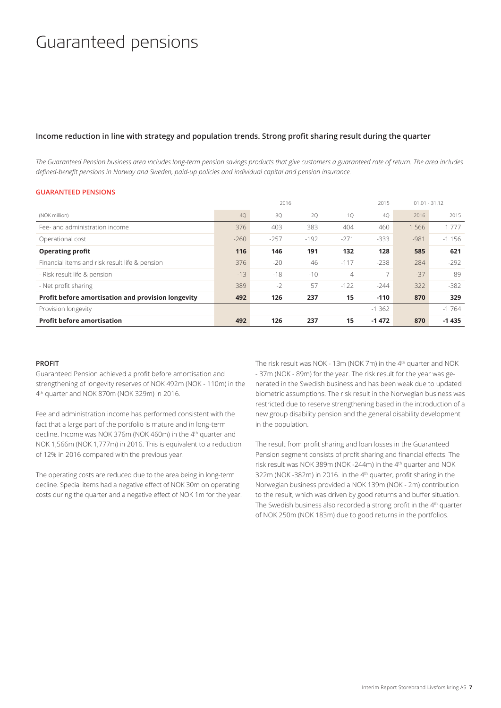## Guaranteed pensions

### **Income reduction in line with strategy and population trends. Strong profit sharing result during the quarter**

*The Guaranteed Pension business area includes long-term pension savings products that give customers a guaranteed rate of return. The area includes defined-benefit pensions in Norway and Sweden, paid-up policies and individual capital and pension insurance.*

### **GUARANTEED PENSIONS**

|                                                    |        | 2016   |        |        | 2015    |        | $01.01 - 31.12$ |
|----------------------------------------------------|--------|--------|--------|--------|---------|--------|-----------------|
| (NOK million)                                      | 40     | 3Q     | 20     | 10     | 40      | 2016   | 2015            |
| Fee- and administration income                     | 376    | 403    | 383    | 404    | 460     | 1566   | 1 7 7 7         |
| Operational cost                                   | $-260$ | $-257$ | $-192$ | $-271$ | $-333$  | $-981$ | $-1156$         |
| <b>Operating profit</b>                            | 116    | 146    | 191    | 132    | 128     | 585    | 621             |
| Financial items and risk result life & pension     | 376    | $-20$  | 46     | $-117$ | $-238$  | 284    | $-292$          |
| - Risk result life & pension                       | $-13$  | $-18$  | $-10$  | 4      | 7       | $-37$  | 89              |
| - Net profit sharing                               | 389    | $-2$   | 57     | $-122$ | $-244$  | 322    | $-382$          |
| Profit before amortisation and provision longevity | 492    | 126    | 237    | 15     | $-110$  | 870    | 329             |
| Provision longevity                                |        |        |        |        | $-1362$ |        | $-1764$         |
| <b>Profit before amortisation</b>                  | 492    | 126    | 237    | 15     | $-1472$ | 870    | $-1435$         |

#### **PROFIT**

Guaranteed Pension achieved a profit before amortisation and strengthening of longevity reserves of NOK 492m (NOK - 110m) in the 4<sup>th</sup> quarter and NOK 870m (NOK 329m) in 2016.

Fee and administration income has performed consistent with the fact that a large part of the portfolio is mature and in long-term decline. Income was NOK 376m (NOK 460m) in the 4<sup>th</sup> quarter and NOK 1,566m (NOK 1,777m) in 2016. This is equivalent to a reduction of 12% in 2016 compared with the previous year.

The operating costs are reduced due to the area being in long-term decline. Special items had a negative effect of NOK 30m on operating costs during the quarter and a negative effect of NOK 1m for the year.

The risk result was NOK - 13m (NOK 7m) in the 4<sup>th</sup> quarter and NOK - 37m (NOK - 89m) for the year. The risk result for the year was generated in the Swedish business and has been weak due to updated biometric assumptions. The risk result in the Norwegian business was restricted due to reserve strengthening based in the introduction of a new group disability pension and the general disability development in the population.

The result from profit sharing and loan losses in the Guaranteed Pension segment consists of profit sharing and financial effects. The risk result was NOK 389m (NOK -244m) in the 4th quarter and NOK 322m (NOK -382m) in 2016. In the 4<sup>th</sup> quarter, profit sharing in the Norwegian business provided a NOK 139m (NOK - 2m) contribution to the result, which was driven by good returns and buffer situation. The Swedish business also recorded a strong profit in the 4<sup>th</sup> quarter of NOK 250m (NOK 183m) due to good returns in the portfolios.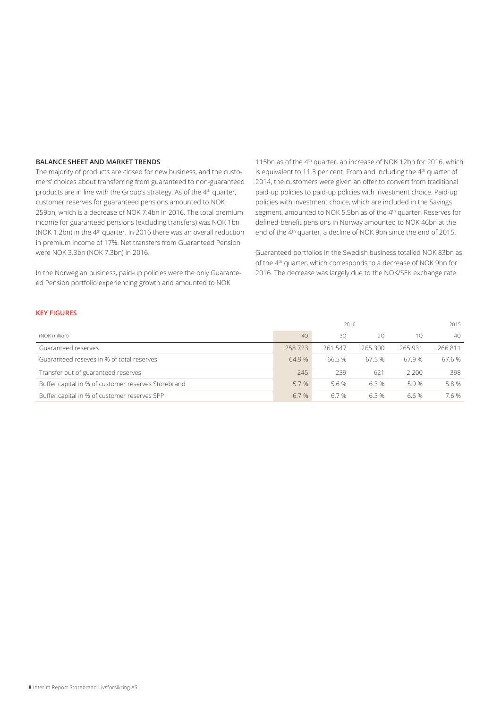### **BALANCE SHEET AND MARKET TRENDS**

The majority of products are closed for new business, and the customers' choices about transferring from guaranteed to non-guaranteed products are in line with the Group's strategy. As of the 4<sup>th</sup> quarter, customer reserves for guaranteed pensions amounted to NOK 259bn, which is a decrease of NOK 7.4bn in 2016. The total premium income for guaranteed pensions (excluding transfers) was NOK 1bn (NOK 1.2bn) in the 4<sup>th</sup> quarter. In 2016 there was an overall reduction in premium income of 17%. Net transfers from Guaranteed Pension were NOK 3.3bn (NOK 7.3bn) in 2016.

In the Norwegian business, paid-up policies were the only Guaranteed Pension portfolio experiencing growth and amounted to NOK

115bn as of the 4<sup>th</sup> quarter, an increase of NOK 12bn for 2016, which is equivalent to 11.3 per cent. From and including the 4th quarter of 2014, the customers were given an offer to convert from traditional paid-up policies to paid-up policies with investment choice. Paid-up policies with investment choice, which are included in the Savings segment, amounted to NOK 5.5bn as of the 4<sup>th</sup> quarter. Reserves for defined-benefit pensions in Norway amounted to NOK 46bn at the end of the 4th quarter, a decline of NOK 9bn since the end of 2015.

Guaranteed portfolios in the Swedish business totalled NOK 83bn as of the 4th quarter, which corresponds to a decrease of NOK 9bn for 2016. The decrease was largely due to the NOK/SEK exchange rate.

### **KEY FIGURES**

|                                                     |        | 2016    |        |         | 2015   |
|-----------------------------------------------------|--------|---------|--------|---------|--------|
| (NOK million)                                       | 40     | 30      | 20     | 10      | 40     |
| Guaranteed reserves                                 | 258723 | 261 547 | 265300 | 265 931 | 266811 |
| Guaranteed reseves in % of total reserves           | 64.9%  | 66.5 %  | 67.5%  | 67.9%   | 67.6 % |
| Transfer out of guaranteed reserves                 | 245    | 239     | 621    | 2.200   | 398    |
| Buffer capital in % of customer reserves Storebrand | 5.7%   | 5.6%    | 6.3%   | 5.9%    | 5.8%   |
| Buffer capital in % of customer reserves SPP        | 6.7%   | 6.7 %   | 6.3%   | 6.6%    | 7.6 %  |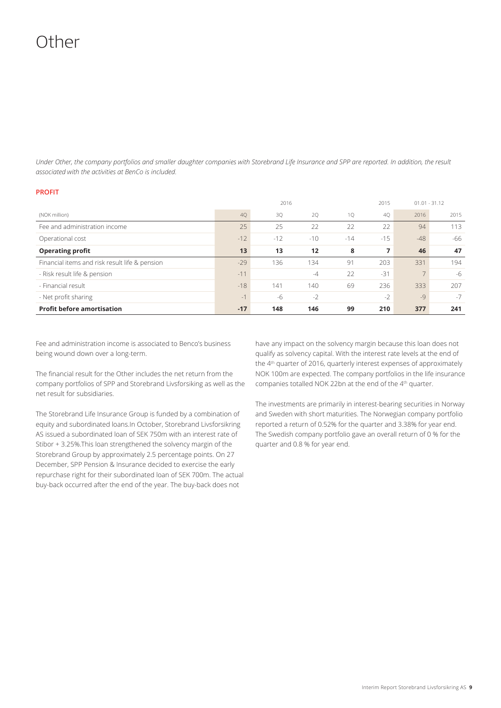## Other

*Under Other, the company portfolios and smaller daughter companies with Storebrand Life Insurance and SPP are reported. In addition, the result associated with the activities at BenCo is included.*

### **PROFIT**

|                                                |       | 2016  |       |       | 2015  |       | $01.01 - 31.12$ |
|------------------------------------------------|-------|-------|-------|-------|-------|-------|-----------------|
| (NOK million)                                  | 40    | 3Q    | 20    | 1Q    | 40    | 2016  | 2015            |
| Fee and administration income                  | 25    | 25    | 22    | 22    | 22    | 94    | 113             |
| Operational cost                               | $-12$ | $-12$ | $-10$ | $-14$ | $-15$ | $-48$ | -66             |
| <b>Operating profit</b>                        | 13    | 13    | 12    | 8     | 7     | 46    | 47              |
| Financial items and risk result life & pension | $-29$ | 136   | 134   | 91    | 203   | 331   | 194             |
| - Risk result life & pension                   | $-11$ |       | $-4$  | 22    | $-31$ |       | $-6$            |
| - Financial result                             | $-18$ | 141   | 140   | 69    | 236   | 333   | 207             |
| - Net profit sharing                           | $-1$  | -6    | $-2$  |       | $-2$  | $-9$  | $-7$            |
| <b>Profit before amortisation</b>              | $-17$ | 148   | 146   | 99    | 210   | 377   | 241             |

Fee and administration income is associated to Benco's business being wound down over a long-term.

The financial result for the Other includes the net return from the company portfolios of SPP and Storebrand Livsforsiking as well as the net result for subsidiaries.

The Storebrand Life Insurance Group is funded by a combination of equity and subordinated loans.In October, Storebrand Livsforsikring AS issued a subordinated loan of SEK 750m with an interest rate of Stibor + 3.25%.This loan strengthened the solvency margin of the Storebrand Group by approximately 2.5 percentage points. On 27 December, SPP Pension & Insurance decided to exercise the early repurchase right for their subordinated loan of SEK 700m. The actual buy-back occurred after the end of the year. The buy-back does not

have any impact on the solvency margin because this loan does not qualify as solvency capital. With the interest rate levels at the end of the 4<sup>th</sup> quarter of 2016, quarterly interest expenses of approximately NOK 100m are expected. The company portfolios in the life insurance companies totalled NOK 22bn at the end of the 4th quarter.

The investments are primarily in interest-bearing securities in Norway and Sweden with short maturities. The Norwegian company portfolio reported a return of 0.52% for the quarter and 3.38% for year end. The Swedish company portfolio gave an overall return of 0 % for the quarter and 0.8 % for year end.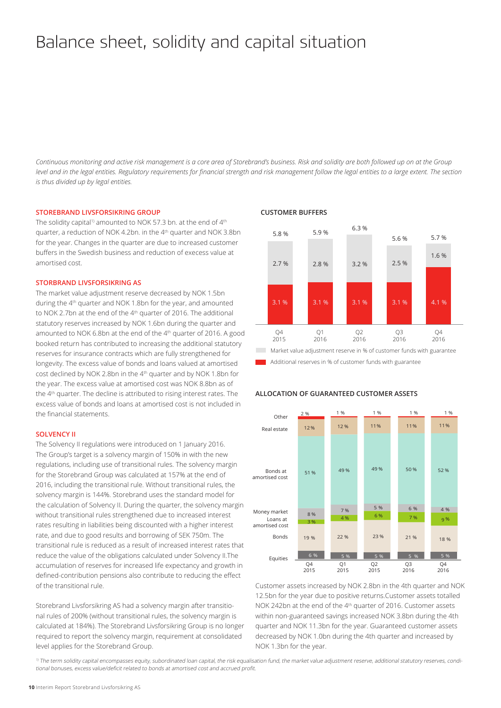# Balance sheet, solidity and capital situation

*Continuous monitoring and active risk management is a core area of Storebrand's business. Risk and solidity are both followed up on at the Group level and in the legal entities. Regulatory requirements for financial strength and risk management follow the legal entities to a large extent. The section is thus divided up by legal entities.* 

### **STOREBRAND LIVSFORSIKRING GROUP**

The solidity capital<sup>1)</sup> amounted to NOK 57.3 bn. at the end of  $4<sup>th</sup>$ quarter, a reduction of NOK 4.2bn. in the 4<sup>th</sup> quarter and NOK 3.8bn for the year. Changes in the quarter are due to increased customer buffers in the Swedish business and reduction of execess value at amortised cost.

### **STORBRAND LIVSFORSIKRING AS**

The market value adjustment reserve decreased by NOK 1.5bn during the 4<sup>th</sup> quarter and NOK 1.8bn for the year, and amounted to NOK 2.7bn at the end of the 4th quarter of 2016. The additional statutory reserves increased by NOK 1.6bn during the quarter and amounted to NOK 6.8bn at the end of the 4th quarter of 2016. A good booked return has contributed to increasing the additional statutory reserves for insurance contracts which are fully strengthened for longevity. The excess value of bonds and loans valued at amortised cost declined by NOK 2.8bn in the 4th quarter and by NOK 1.8bn for the year. The excess value at amortised cost was NOK 8.8bn as of the 4th quarter. The decline is attributed to rising interest rates. The excess value of bonds and loans at amortised cost is not included in the financial statements.

### **SOLVENCY II**

The Solvency II regulations were introduced on 1 January 2016. The Group's target is a solvency margin of 150% in with the new regulations, including use of transitional rules. The solvency margin for the Storebrand Group was calculated at 157% at the end of 2016, including the transitional rule. Without transitional rules, the solvency margin is 144%. Storebrand uses the standard model for the calculation of Solvency II. During the quarter, the solvency margin without transitional rules strengthened due to increased interest rates resulting in liabilities being discounted with a higher interest rate, and due to good results and borrowing of SEK 750m. The transitional rule is reduced as a result of increased interest rates that reduce the value of the obligations calculated under Solvency II.The accumulation of reserves for increased life expectancy and growth in defined-contribution pensions also contribute to reducing the effect of the transitional rule.

Storebrand Livsforsikring AS had a solvency margin after transitional rules of 200% (without transitional rules, the solvency margin is calculated at 184%). The Storebrand Livsforsikring Group is no longer required to report the solvency margin, requirement at consolidated level applies for the Storebrand Group.

### **CUSTOMER BUFFERS**



Additional reserves in % of customer funds with guarantee

**ALLOCATION OF GUARANTEED CUSTOMER ASSETS**

#### Equities Bonds Money market Bonds at amortised cost Real estate Other 6 % 5 % 5 % 5 % 5 % 19 % 22 % 23 % 21 % 18 % 8 % 4 % 6 % 7 % 9 % 9 %  $8\%$  7 %  $5\%$  6 % 4 % 51 % 49 % 49 % 50 % 52 % 12 % 12 % 11 % 11 % 11 % 11 % Q4 2015 2 % 1 % 1 % 1 % 1 % 1 % 1 % Loans at amortised cost Q1 2015  $O<sub>2</sub>$  $2015$ Q3  $2016$  $O<sub>4</sub>$ 2016

Customer assets increased by NOK 2.8bn in the 4th quarter and NOK 12.5bn for the year due to positive returns.Customer assets totalled NOK 242bn at the end of the 4<sup>th</sup> quarter of 2016. Customer assets within non-guaranteed savings increased NOK 3.8bn during the 4th quarter and NOK 11.3bn for the year. Guaranteed customer assets decreased by NOK 1.0bn during the 4th quarter and increased by NOK 1.3bn for the year.

<sup>1)</sup> The term solidity capital encompasses equity, subordinated loan capital, the risk equalisation fund, the market value adjustment reserve, additional statutory reserves, conditional bonuses, excess value/deficit related to bonds at amortised cost and accrued profit.

#### **10** Interim Report Storebrand Livsforsikring AS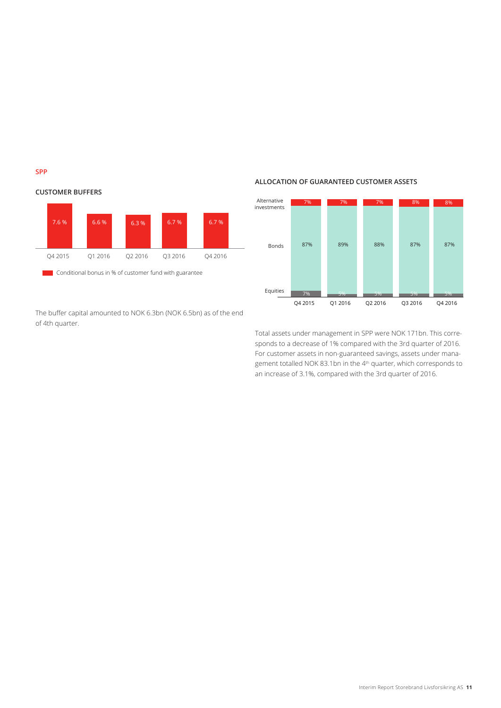**SPP** 



The buffer capital amounted to NOK 6.3bn (NOK 6.5bn) as of the end of 4th quarter.

### **ALLOCATION OF GUARANTEED CUSTOMER ASSETS**



Total assets under management in SPP were NOK 171bn. This corresponds to a decrease of 1% compared with the 3rd quarter of 2016. For customer assets in non-guaranteed savings, assets under management totalled NOK 83.1bn in the 4th quarter, which corresponds to an increase of 3.1%, compared with the 3rd quarter of 2016.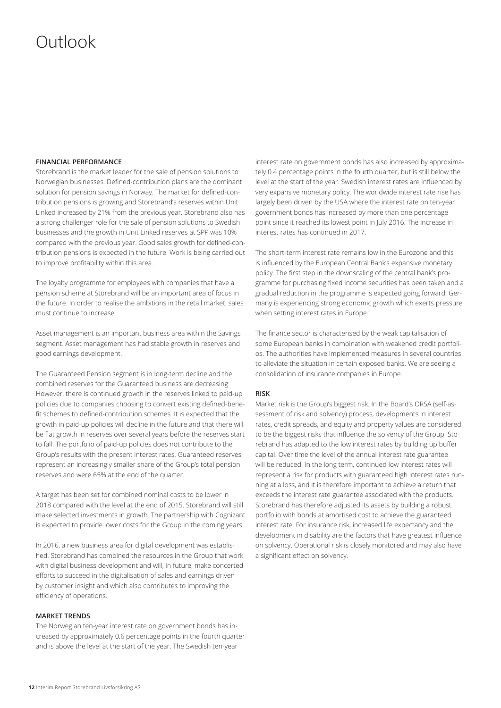## Outlook

### **FINANCIAL PERFORMANCE**

Storebrand is the market leader for the sale of pension solutions to Norwegian businesses. Defined-contribution plans are the dominant solution for pension savings in Norway. The market for defined-contribution pensions is growing and Storebrand's reserves within Unit Linked increased by 21% from the previous year. Storebrand also has a strong challenger role for the sale of pension solutions to Swedish businesses and the growth in Unit Linked reserves at SPP was 10% compared with the previous year. Good sales growth for defined-contribution pensions is expected in the future. Work is being carried out to improve profitability within this area.

The loyalty programme for employees with companies that have a pension scheme at Storebrand will be an important area of focus in the future. In order to realise the ambitions in the retail market, sales must continue to increase.

Asset management is an important business area within the Savings segment. Asset management has had stable growth in reserves and good earnings development.

The Guaranteed Pension segment is in long-term decline and the combined reserves for the Guaranteed business are decreasing. However, there is continued growth in the reserves linked to paid-up policies due to companies choosing to convert existing defined-benefit schemes to defined-contribution schemes. It is expected that the growth in paid-up policies will decline in the future and that there will be flat growth in reserves over several years before the reserves start to fall. The portfolio of paid-up policies does not contribute to the Group's results with the present interest rates. Guaranteed reserves represent an increasingly smaller share of the Group's total pension reserves and were 65% at the end of the quarter.

A target has been set for combined nominal costs to be lower in 2018 compared with the level at the end of 2015. Storebrand will still make selected investments in growth. The partnership with Cognizant is expected to provide lower costs for the Group in the coming years.

In 2016, a new business area for digital development was established. Storebrand has combined the resources in the Group that work with digital business development and will, in future, make concerted efforts to succeed in the digitalisation of sales and earnings driven by customer insight and which also contributes to improving the efficiency of operations.

### **MARKET TRENDS**

The Norwegian ten-year interest rate on government bonds has increased by approximately 0.6 percentage points in the fourth quarter and is above the level at the start of the year. The Swedish ten-year

interest rate on government bonds has also increased by approximately 0.4 percentage points in the fourth quarter, but is still below the level at the start of the year. Swedish interest rates are influenced by very expansive monetary policy. The worldwide interest rate rise has largely been driven by the USA where the interest rate on ten-year government bonds has increased by more than one percentage point since it reached its lowest point in July 2016. The increase in interest rates has continued in 2017.

The short-term interest rate remains low in the Eurozone and this is influenced by the European Central Bank's expansive monetary policy. The first step in the downscaling of the central bank's programme for purchasing fixed income securities has been taken and a gradual reduction in the programme is expected going forward. Germany is experiencing strong economic growth which exerts pressure when setting interest rates in Europe.

The finance sector is characterised by the weak capitalisation of some European banks in combination with weakened credit portfolios. The authorities have implemented measures in several countries to alleviate the situation in certain exposed banks. We are seeing a consolidation of insurance companies in Europe.

#### **RISK**

Market risk is the Group's biggest risk. In the Board's ORSA (self-assessment of risk and solvency) process, developments in interest rates, credit spreads, and equity and property values are considered to be the biggest risks that influence the solvency of the Group. Storebrand has adapted to the low interest rates by building up buffer capital. Over time the level of the annual interest rate guarantee will be reduced. In the long term, continued low interest rates will represent a risk for products with guaranteed high interest rates running at a loss, and it is therefore important to achieve a return that exceeds the interest rate guarantee associated with the products. Storebrand has therefore adjusted its assets by building a robust portfolio with bonds at amortised cost to achieve the guaranteed interest rate. For insurance risk, increased life expectancy and the development in disability are the factors that have greatest influence on solvency. Operational risk is closely monitored and may also have a significant effect on solvency.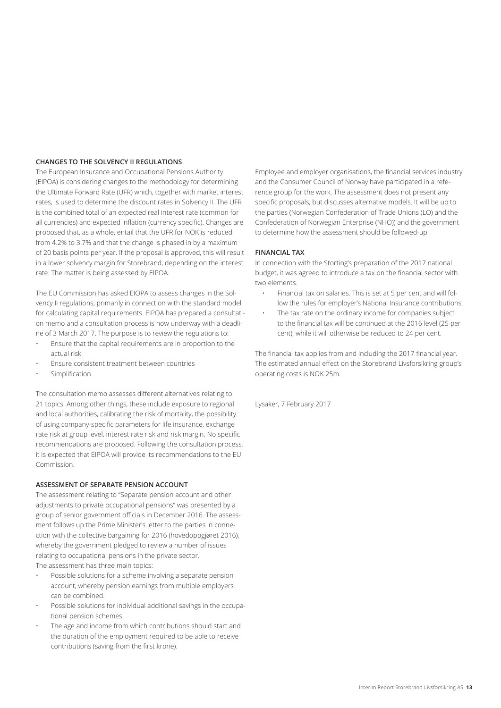### **CHANGES TO THE SOLVENCY II REGULATIONS**

The European Insurance and Occupational Pensions Authority (EIPOA) is considering changes to the methodology for determining the Ultimate Forward Rate (UFR) which, together with market interest rates, is used to determine the discount rates in Solvency II. The UFR is the combined total of an expected real interest rate (common for all currencies) and expected inflation (currency specific). Changes are proposed that, as a whole, entail that the UFR for NOK is reduced from 4.2% to 3.7% and that the change is phased in by a maximum of 20 basis points per year. If the proposal is approved, this will result in a lower solvency margin for Storebrand, depending on the interest rate. The matter is being assessed by EIPOA.

The EU Commission has asked EIOPA to assess changes in the Solvency II regulations, primarily in connection with the standard model for calculating capital requirements. EIPOA has prepared a consultation memo and a consultation process is now underway with a deadline of 3 March 2017. The purpose is to review the regulations to:

- Ensure that the capital requirements are in proportion to the actual risk
- Ensure consistent treatment between countries
- Simplification.

The consultation memo assesses different alternatives relating to 21 topics. Among other things, these include exposure to regional and local authorities, calibrating the risk of mortality, the possibility of using company-specific parameters for life insurance, exchange rate risk at group level, interest rate risk and risk margin. No specific recommendations are proposed. Following the consultation process, it is expected that EIPOA will provide its recommendations to the EU Commission.

### **ASSESSMENT OF SEPARATE PENSION ACCOUNT**

The assessment relating to "Separate pension account and other adjustments to private occupational pensions" was presented by a group of senior government officials in December 2016. The assessment follows up the Prime Minister's letter to the parties in connection with the collective bargaining for 2016 (hovedoppgjøret 2016), whereby the government pledged to review a number of issues relating to occupational pensions in the private sector. The assessment has three main topics:

- Possible solutions for a scheme involving a separate pension account, whereby pension earnings from multiple employers can be combined.
- Possible solutions for individual additional savings in the occupational pension schemes.
- The age and income from which contributions should start and the duration of the employment required to be able to receive contributions (saving from the first krone).

Employee and employer organisations, the financial services industry and the Consumer Council of Norway have participated in a reference group for the work. The assessment does not present any specific proposals, but discusses alternative models. It will be up to the parties (Norwegian Confederation of Trade Unions (LO) and the Confederation of Norwegian Enterprise (NHO)) and the government to determine how the assessment should be followed-up.

### **FINANCIAL TAX**

In connection with the Storting's preparation of the 2017 national budget, it was agreed to introduce a tax on the financial sector with two elements.

- Financial tax on salaries. This is set at 5 per cent and will follow the rules for employer's National Insurance contributions.
- The tax rate on the ordinary income for companies subject to the financial tax will be continued at the 2016 level (25 per cent), while it will otherwise be reduced to 24 per cent.

The financial tax applies from and including the 2017 financial year. The estimated annual effect on the Storebrand Livsforsikring group's operating costs is NOK 25m.

Lysaker, 7 February 2017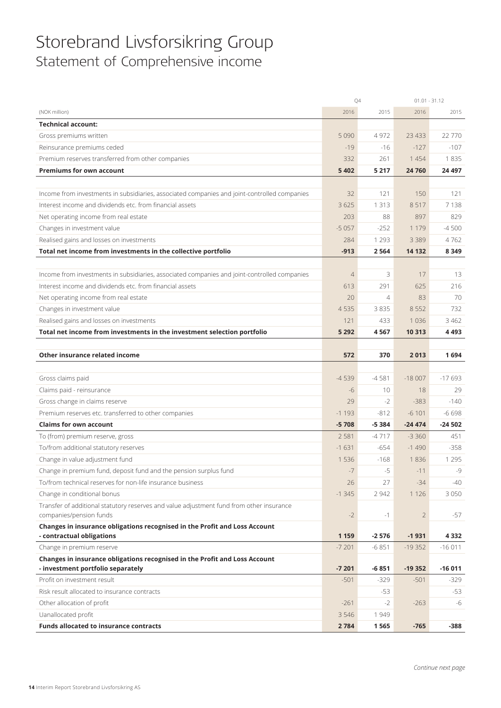## Storebrand Livsforsikring Group Statement of Comprehensive income

|                                                                                                                 | Q4                 |                | $01.01 - 31.12$ |          |
|-----------------------------------------------------------------------------------------------------------------|--------------------|----------------|-----------------|----------|
| (NOK million)                                                                                                   | 2016               | 2015           | 2016            | 2015     |
| <b>Technical account:</b>                                                                                       |                    |                |                 |          |
| Gross premiums written                                                                                          | 5 0 9 0            | 4972           | 23 4 33         | 22 770   |
| Reinsurance premiums ceded                                                                                      | $-19$              | $-16$          | $-127$          | $-107$   |
| Premium reserves transferred from other companies                                                               | 332                | 261            | 1 4 5 4         | 1835     |
| <b>Premiums for own account</b>                                                                                 | 5 4 0 2            | 5 2 1 7        | 24 760          | 24 4 97  |
|                                                                                                                 |                    |                |                 |          |
| Income from investments in subsidiaries, associated companies and joint-controlled companies                    | 32                 | 121            | 150             | 121      |
| Interest income and dividends etc. from financial assets                                                        | 3625               | 1 3 1 3        | 8517            | 7138     |
| Net operating income from real estate                                                                           | 203                | 88             | 897             | 829      |
| Changes in investment value                                                                                     | $-5057$            | $-252$         | 1 1 7 9         | $-4500$  |
| Realised gains and losses on investments                                                                        | 284                | 1 2 9 3        | 3 3 8 9         | 4762     |
| Total net income from investments in the collective portfolio                                                   | $-913$             | 2564           | 14 132          | 8 3 4 9  |
|                                                                                                                 |                    |                |                 |          |
| Income from investments in subsidiaries, associated companies and joint-controlled companies                    | $\overline{4}$     | 3              | 17              | 13       |
| Interest income and dividends etc. from financial assets                                                        | 613                | 291            | 625             | 216      |
| Net operating income from real estate                                                                           | 20                 | $\overline{4}$ | 83              | 70       |
| Changes in investment value                                                                                     | 4535               | 3835           | 8552            | 732      |
| Realised gains and losses on investments                                                                        | 121                | 433            | 1036            | 3 4 6 2  |
| Total net income from investments in the investment selection portfolio                                         | 5 2 9 2            | 4567           | 10 313          | 4493     |
|                                                                                                                 |                    |                |                 |          |
| Other insurance related income                                                                                  | 572                | 370            | 2013            | 1694     |
|                                                                                                                 |                    |                |                 |          |
| Gross claims paid                                                                                               | $-4539$            | $-4581$        | $-18007$        | $-17693$ |
| Claims paid - reinsurance                                                                                       | $-6$               | 10             | 18              | 29       |
| Gross change in claims reserve                                                                                  | 29                 | $-2$           | $-383$          | $-140$   |
| Premium reserves etc. transferred to other companies                                                            | $-1193$            | $-812$         | $-6101$         | $-6698$  |
| <b>Claims for own account</b>                                                                                   | $-5708$            | $-5384$        | $-24474$        | $-24502$ |
| To (from) premium reserve, gross                                                                                | 2 5 8 1            | $-4717$        | $-3360$         | 451      |
| To/from additional statutory reserves                                                                           | $-1631$            | $-654$         | $-1490$         | $-358$   |
| Change in value adjustment fund                                                                                 | 1536               | $-168$         | 1836            | 1 2 9 5  |
| Change in premium fund, deposit fund and the pension surplus fund                                               | $-7$               | $-5$           | $-11$           | $-9$     |
| To/from technical reserves for non-life insurance business                                                      | 26                 | 27             | $-34$           | -40      |
| Change in conditional bonus                                                                                     | $-1345$            | 2 9 4 2        | 1 1 2 6         | 3050     |
| Transfer of additional statutory reserves and value adjustment fund from other insurance                        |                    |                |                 |          |
| companies/pension funds                                                                                         | $-2$               | $-1$           | $\overline{2}$  | -57      |
| Changes in insurance obligations recognised in the Profit and Loss Account                                      |                    |                |                 |          |
| - contractual obligations                                                                                       | 1 1 5 9            | $-2576$        | $-1931$         | 4 3 3 2  |
| Change in premium reserve                                                                                       | $-7201$            | $-6851$        | $-19352$        | $-16011$ |
| Changes in insurance obligations recognised in the Profit and Loss Account<br>- investment portfolio separately | $-7201$            | -6 851         | $-19352$        | $-16011$ |
| Profit on investment result                                                                                     | $-501$             | $-329$         |                 |          |
| Risk result allocated to insurance contracts                                                                    |                    | $-53$          | $-501$          | -329     |
|                                                                                                                 |                    |                |                 | -53      |
| Other allocation of profit                                                                                      | $-261$             | $-2$           | $-263$          | -6       |
| Uanallocated profit<br><b>Funds allocated to insurance contracts</b>                                            | 3 5 4 6<br>2 7 8 4 | 1949<br>1565   | $-765$          |          |
|                                                                                                                 |                    |                |                 | -388     |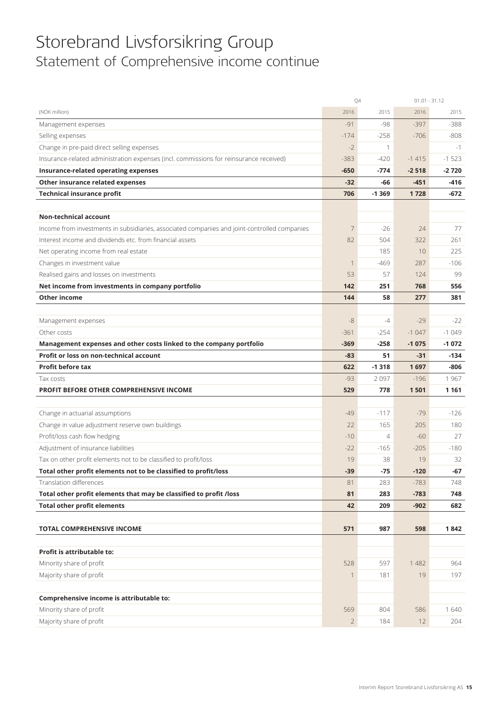## Storebrand Livsforsikring Group Statement of Comprehensive income continue

|                                                                                              | Q4     |                | $01.01 - 31.12$ |         |
|----------------------------------------------------------------------------------------------|--------|----------------|-----------------|---------|
| (NOK million)                                                                                | 2016   | 2015           | 2016            | 2015    |
| Management expenses                                                                          | $-91$  | -98            | $-397$          | $-388$  |
| Selling expenses                                                                             | $-174$ | $-258$         | $-706$          | $-808$  |
| Change in pre-paid direct selling expenses                                                   | $-2$   | 1              |                 | $-1$    |
| Insurance-related administration expenses (incl. commissions for reinsurance received)       | $-383$ | $-420$         | $-1415$         | $-1523$ |
| Insurance-related operating expenses                                                         | $-650$ | $-774$         | $-2518$         | $-2720$ |
| Other insurance related expenses                                                             | $-32$  | -66            | $-451$          | -416    |
| <b>Technical insurance profit</b>                                                            | 706    | $-1369$        | 1728            | -672    |
|                                                                                              |        |                |                 |         |
| <b>Non-technical account</b>                                                                 |        |                |                 |         |
| Income from investments in subsidiaries, associated companies and joint-controlled companies | 7      | $-26$          | 24              | 77      |
| Interest income and dividends etc. from financial assets                                     | 82     | 504            | 322             | 261     |
| Net operating income from real estate                                                        |        | 185            | 10              | 225     |
| Changes in investment value                                                                  | 1      | $-469$         | 287             | $-106$  |
| Realised gains and losses on investments                                                     | 53     | 57             | 124             | 99      |
| Net income from investments in company portfolio                                             | 142    | 251            | 768             | 556     |
| Other income                                                                                 | 144    | 58             | 277             | 381     |
|                                                                                              |        |                |                 |         |
| Management expenses                                                                          | $-8$   | $-4$           | $-29$           | $-22$   |
| Other costs                                                                                  | $-361$ | $-254$         | $-1047$         | $-1049$ |
| Management expenses and other costs linked to the company portfolio                          | $-369$ | $-258$         | $-1075$         | $-1072$ |
| <b>Profit or loss on non-technical account</b>                                               | $-83$  | 51             | $-31$           | $-134$  |
|                                                                                              |        |                |                 |         |
| <b>Profit before tax</b>                                                                     | 622    | $-1318$        | 1697            | $-806$  |
| Tax costs                                                                                    | $-93$  | 2097           | $-196$          | 1967    |
| PROFIT BEFORE OTHER COMPREHENSIVE INCOME                                                     | 529    | 778            | 1501            | 1 1 6 1 |
|                                                                                              |        |                |                 |         |
| Change in actuarial assumptions                                                              | $-49$  | $-117$         | $-79$           | $-126$  |
| Change in value adjustment reserve own buildings                                             | 22     | 165            | 205             | 180     |
| Profit/loss cash flow hedging                                                                | $-10$  | $\overline{4}$ | $-60$           | 27      |
| Adjustment of insurance liabilities                                                          | $-22$  | $-165$         | $-205$          | $-180$  |
| Tax on other profit elements not to be classified to profit/loss                             | 19     | 38             | 19              | 32      |
| Total other profit elements not to be classified to profit/loss                              | $-39$  | $-75$          | $-120$          | -67     |
| Translation differences                                                                      | 81     | 283            | $-783$          | 748     |
| Total other profit elements that may be classified to profit /loss                           | 81     | 283            | $-783$          | 748     |
| <b>Total other profit elements</b>                                                           | 42     | 209            | $-902$          | 682     |
|                                                                                              |        |                |                 |         |
| <b>TOTAL COMPREHENSIVE INCOME</b>                                                            | 571    | 987            | 598             | 1842    |
|                                                                                              |        |                |                 |         |
| Profit is attributable to:                                                                   |        |                |                 |         |
| Minority share of profit                                                                     | 528    | 597            | 1 4 8 2         | 964     |
| Majority share of profit                                                                     | 1      | 181            | 19              | 197     |
|                                                                                              |        |                |                 |         |
| Comprehensive income is attributable to:                                                     |        |                |                 |         |
| Minority share of profit                                                                     | 569    | 804            | 586             | 1640    |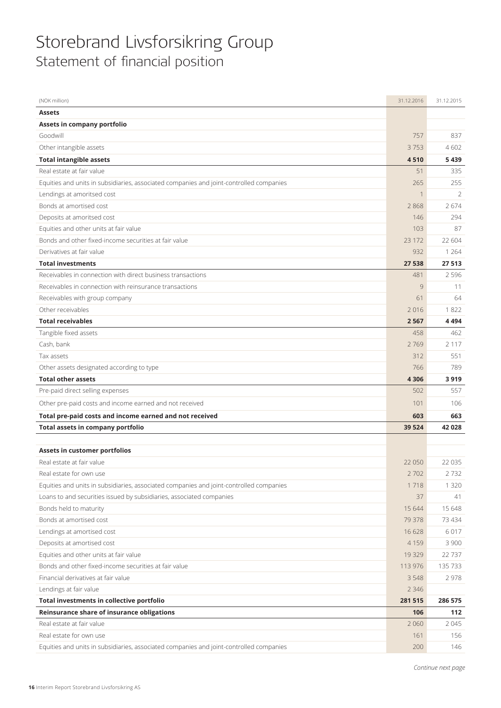## Storebrand Livsforsikring Group Statement of financial position

| (NOK million)                                                                           | 31.12.2016  | 31.12.2015 |
|-----------------------------------------------------------------------------------------|-------------|------------|
| <b>Assets</b>                                                                           |             |            |
| Assets in company portfolio                                                             |             |            |
| Goodwill                                                                                | 757         | 837        |
| Other intangible assets                                                                 | 3753        | 4602       |
| <b>Total intangible assets</b>                                                          | 4510        | 5439       |
| Real estate at fair value                                                               | 51          | 335        |
| Equities and units in subsidiaries, associated companies and joint-controlled companies | 265         | 255        |
| Lendings at amoritsed cost                                                              | $\mathbf 1$ | 2          |
| Bonds at amortised cost                                                                 | 2868        | 2674       |
| Deposits at amoritsed cost                                                              | 146         | 294        |
| Equities and other units at fair value                                                  | 103         | 87         |
| Bonds and other fixed-income securities at fair value                                   | 23 1 72     | 22 604     |
| Derivatives at fair value                                                               | 932         | 1 2 6 4    |
| <b>Total investments</b>                                                                | 27 538      | 27513      |
| Receivables in connection with direct business transactions                             | 481         | 2596       |
| Receivables in connection with reinsurance transactions                                 | 9           | 11         |
| Receivables with group company                                                          | 61          | 64         |
| Other receivables                                                                       | 2016        | 1822       |
| <b>Total receivables</b>                                                                | 2567        | 4494       |
| Tangible fixed assets                                                                   | 458         | 462        |
| Cash, bank                                                                              | 2769        | 2 1 1 7    |
| Tax assets                                                                              | 312         | 551        |
| Other assets designated according to type                                               | 766         | 789        |
| <b>Total other assets</b>                                                               | 4 3 0 6     | 3919       |
| Pre-paid direct selling expenses                                                        | 502         | 557        |
| Other pre-paid costs and income earned and not received                                 | 101         | 106        |
| Total pre-paid costs and income earned and not received                                 | 603         | 663        |
| Total assets in company portfolio                                                       | 39 5 24     | 42028      |
| Assets in customer portfolios                                                           |             |            |
| Real estate at fair value                                                               | 22 050      | 22 0 35    |
| Real estate for own use                                                                 | 2702        | 2732       |
| Equities and units in subsidiaries, associated companies and joint-controlled companies | 1718        | 1 3 2 0    |
| Loans to and securities issued by subsidiaries, associated companies                    | 37          | 41         |
| Bonds held to maturity                                                                  | 15 644      | 15 648     |
| Bonds at amortised cost                                                                 | 79 378      | 73 434     |
| Lendings at amortised cost                                                              | 16628       | 6017       |
| Deposits at amortised cost                                                              | 4159        | 3 9 0 0    |
| Equities and other units at fair value                                                  | 19329       | 22737      |
| Bonds and other fixed-income securities at fair value                                   | 113 976     | 135 733    |
| Financial derivatives at fair value                                                     | 3548        | 2978       |
| Lendings at fair value                                                                  | 2 3 4 6     |            |
| Total investments in collective portfolio                                               | 281 515     | 286 575    |
| Reinsurance share of insurance obligations                                              | 106         | 112        |
| Real estate at fair value                                                               | 2 0 6 0     | 2045       |
| Real estate for own use                                                                 | 161         | 156        |
| Equities and units in subsidiaries, associated companies and joint-controlled companies | 200         | 146        |
|                                                                                         |             |            |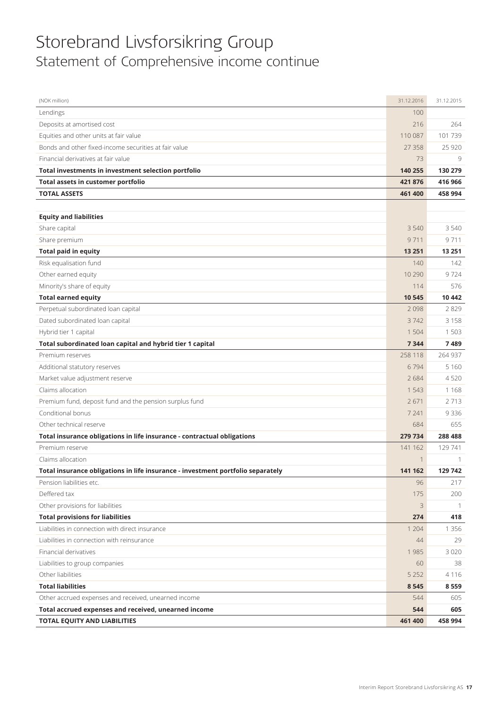## Storebrand Livsforsikring Group Statement of Comprehensive income continue

| (NOK million)                                                                   | 31.12.2016  | 31.12.2015     |
|---------------------------------------------------------------------------------|-------------|----------------|
| Lendings                                                                        | 100         |                |
| Deposits at amortised cost                                                      | 216         | 264            |
| Equities and other units at fair value                                          | 110 087     | 101739         |
| Bonds and other fixed-income securities at fair value                           | 27358       | 25 9 20        |
| Financial derivatives at fair value                                             | 73          | 9              |
| Total investments in investment selection portfolio                             | 140 255     | 130 279        |
| Total assets in customer portfolio                                              | 421876      | 416 966        |
| <b>TOTAL ASSETS</b>                                                             | 461 400     | 458 994        |
|                                                                                 |             |                |
| <b>Equity and liabilities</b>                                                   |             |                |
| Share capital                                                                   | 3540        | 3540           |
| Share premium                                                                   | 9711        | 9711           |
| <b>Total paid in equity</b>                                                     | 13 251      | 13 251         |
| Risk equalisation fund                                                          | 140         | 142            |
| Other earned equity                                                             | 10 2 9 0    | 9724           |
| Minority's share of equity                                                      | 114         | 576            |
| <b>Total earned equity</b>                                                      | 10545       | 10 4 42        |
| Perpetual subordinated loan capital                                             | 2098        | 2829           |
| Dated subordinated loan capital                                                 | 3742        | 3158           |
| Hybrid tier 1 capital                                                           | 1504        | 1503           |
| Total subordinated loan capital and hybrid tier 1 capital                       | 7344        | 7489           |
| Premium reserves                                                                | 258 118     | 264 937        |
| Additional statutory reserves                                                   | 6794        | 5 1 6 0        |
| Market value adjustment reserve                                                 | 2684        | 4520           |
| Claims allocation                                                               | 1543        | 1168           |
| Premium fund, deposit fund and the pension surplus fund                         | 2671        | 2713           |
| Conditional bonus                                                               | 7 2 4 1     | 9336           |
| Other technical reserve                                                         | 684         | 655            |
| Total insurance obligations in life insurance - contractual obligations         | 279 734     | 288 488        |
| Premium reserve                                                                 | 141 162     | 129 741        |
| Claims allocation                                                               | 1           | 1              |
| Total insurance obligations in life insurance - investment portfolio separately | 141 162     | 129 742        |
| Pension liabilities etc.                                                        | 96          | 217            |
| Deffered tax                                                                    | 175         | 200            |
| Other provisions for liabilities                                                | $\mathsf 3$ | $\overline{1}$ |
| <b>Total provisions for liabilities</b>                                         | 274         | 418            |
| Liabilities in connection with direct insurance                                 | 1 2 0 4     | 1 3 5 6        |
| Liabilities in connection with reinsurance                                      | 44          | 29             |
| Financial derivatives                                                           | 1985        | 3 0 2 0        |
| Liabilities to group companies                                                  | 60          | 38             |
| Other liabilities                                                               | 5 2 5 2     | 4116           |
| <b>Total liabilities</b>                                                        | 8545        | 8559           |
| Other accrued expenses and received, unearned income                            | 544         | 605            |
| Total accrued expenses and received, unearned income                            | 544         | 605            |
| TOTAL EQUITY AND LIABILITIES                                                    | 461 400     | 458 994        |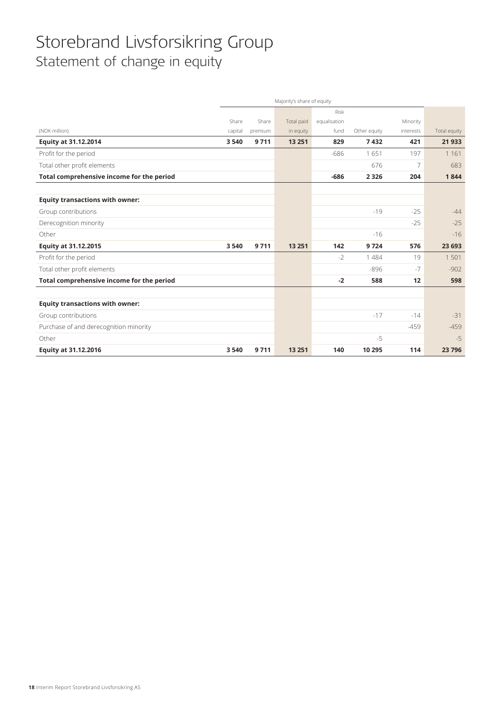## Storebrand Livsforsikring Group Statement of change in equity

|                                           | Majority's share of equity |         |            |              |              |                |              |
|-------------------------------------------|----------------------------|---------|------------|--------------|--------------|----------------|--------------|
|                                           |                            |         |            | Risk         |              |                |              |
|                                           | Share                      | Share   | Total paid | equalisation |              | Minority       |              |
| (NOK million)                             | capital                    | premium | in equity  | fund         | Other equity | interests      | Total equity |
| <b>Equity at 31.12.2014</b>               | 3540                       | 9711    | 13 2 51    | 829          | 7432         | 421            | 21933        |
| Profit for the period                     |                            |         |            | $-686$       | 1651         | 197            | 1 1 6 1      |
| Total other profit elements               |                            |         |            |              | 676          | $\overline{7}$ | 683          |
| Total comprehensive income for the period |                            |         |            | $-686$       | 2 3 2 6      | 204            | 1844         |
|                                           |                            |         |            |              |              |                |              |
| <b>Equity transactions with owner:</b>    |                            |         |            |              |              |                |              |
| Group contributions                       |                            |         |            |              | $-19$        | $-25$          | $-44$        |
| Derecognition minority                    |                            |         |            |              |              | $-25$          | $-25$        |
| Other                                     |                            |         |            |              | $-16$        |                | $-16$        |
| Equity at 31.12.2015                      | 3 5 4 0                    | 9711    | 13 2 51    | 142          | 9724         | 576            | 23 693       |
| Profit for the period                     |                            |         |            | $-2$         | 1 4 8 4      | 19             | 1501         |
| Total other profit elements               |                            |         |            |              | $-896$       | $-7$           | $-902$       |
| Total comprehensive income for the period |                            |         |            | $-2$         | 588          | 12             | 598          |
|                                           |                            |         |            |              |              |                |              |
| <b>Equity transactions with owner:</b>    |                            |         |            |              |              |                |              |
| Group contributions                       |                            |         |            |              | $-17$        | $-14$          | $-31$        |
| Purchase of and derecognition minority    |                            |         |            |              |              | $-459$         | $-459$       |
| Other                                     |                            |         |            |              | $-5$         |                | $-5$         |
| Equity at 31.12.2016                      | 3 5 4 0                    | 9711    | 13 2 51    | 140          | 10 295       | 114            | 23796        |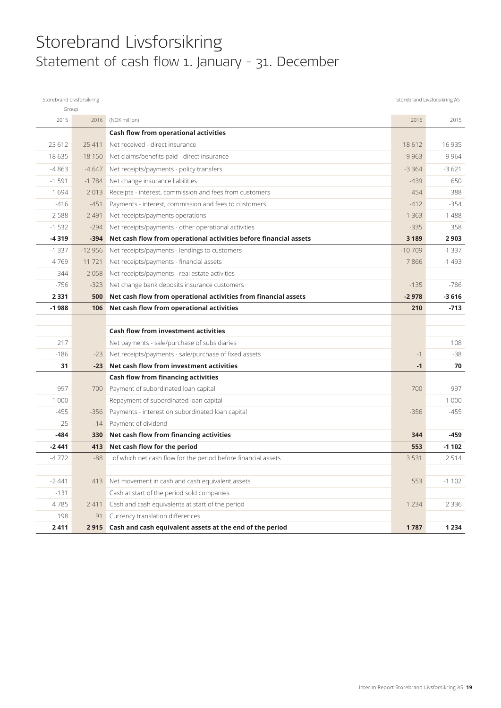### Storebrand Livsforsikring Statement of cash flow 1. January - 31. December

| Storebrand Livsforsikring |          |                                                                   |          | Storebrand Livsforsikring AS |
|---------------------------|----------|-------------------------------------------------------------------|----------|------------------------------|
| Group                     |          |                                                                   |          |                              |
| 2015                      | 2016     | (NOK million)                                                     | 2016     | 2015                         |
|                           |          | Cash flow from operational activities                             |          |                              |
| 23 612                    | 25 411   | Net received - direct insurance                                   | 18 6 12  | 16 9 35                      |
| $-18635$                  | $-18150$ | Net claims/benefits paid - direct insurance                       | $-9963$  | $-9964$                      |
| $-4863$                   | $-4647$  | Net receipts/payments - policy transfers                          | $-3364$  | $-3621$                      |
| $-1591$                   | $-1784$  | Net change insurance liabilities                                  | $-439$   | 650                          |
| 1694                      | 2013     | Receipts - interest, commission and fees from customers           | 454      | 388                          |
| $-416$                    | $-451$   | Payments - interest, commission and fees to customers             | $-412$   | $-354$                       |
| $-2588$                   | $-2491$  | Net receipts/payments operations                                  | $-1363$  | $-1488$                      |
| $-1532$                   | $-294$   | Net receipts/payments - other operational activities              | $-335$   | 358                          |
| -4319                     | $-394$   | Net cash flow from operational activities before financial assets | 3 1 8 9  | 2 9 0 3                      |
| $-1337$                   | $-12956$ | Net receipts/payments - lendings to customers                     | $-10709$ | $-1337$                      |
| 4769                      | 11 7 21  | Net receipts/payments - financial assets                          | 7866     | $-1493$                      |
| $-344$                    | 2058     | Net receipts/payments - real estate activities                    |          |                              |
| $-756$                    | $-323$   | Net change bank deposits insurance customers                      | $-135$   | $-786$                       |
| 2 3 3 1                   | 500      | Net cash flow from operational activities from financial assets   | $-2978$  | $-3616$                      |
| $-1988$                   | 106      | Net cash flow from operational activities                         | 210      | $-713$                       |
|                           |          |                                                                   |          |                              |
|                           |          | <b>Cash flow from investment activities</b>                       |          |                              |
| 217                       |          | Net payments - sale/purchase of subsidiaries                      |          | 108                          |
| $-186$                    | $-23$    | Net receipts/payments - sale/purchase of fixed assets             | $-1$     | $-38$                        |
| 31                        | $-23$    | Net cash flow from investment activities                          | $-1$     | 70                           |
|                           |          | Cash flow from financing activities                               |          |                              |
| 997                       | 700      | Payment of subordinated loan capital                              | 700      | 997                          |
| $-1000$                   |          | Repayment of subordinated loan capital                            |          | $-1000$                      |
| $-455$                    | $-356$   | Payments - interest on subordinated loan capital                  | $-356$   | $-455$                       |
| $-25$                     | $-14$    | Payment of dividend                                               |          |                              |
| $-484$                    | 330      | Net cash flow from financing activities                           | 344      | -459                         |
| $-2441$                   | 413      | Net cash flow for the period                                      | 553      | $-1102$                      |
| $-4772$                   | $-88$    | of which net cash flow for the period before financial assets     | 3 5 3 1  | 2514                         |
|                           |          |                                                                   |          |                              |
| $-2441$                   | 413      | Net movement in cash and cash equivalent assets                   | 553      | $-1102$                      |
| $-131$                    |          | Cash at start of the period sold companies                        |          |                              |
| 4785                      | 2 4 1 1  | Cash and cash equivalents at start of the period                  | 1 2 3 4  | 2 3 3 6                      |
| 198                       | 91       | Currency translation differences                                  |          |                              |
| 2411                      | 2915     | Cash and cash equivalent assets at the end of the period          | 1787     | 1 2 3 4                      |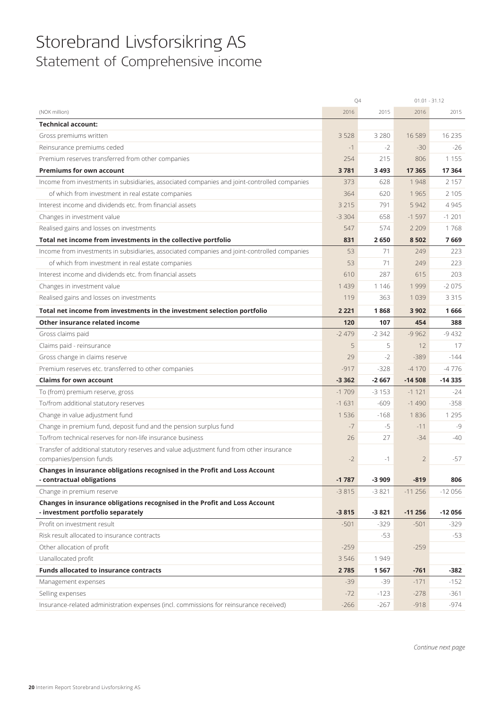### Storebrand Livsforsikring AS Statement of Comprehensive income

|                                                                                                         | Q4      |         | $01.01 - 31.12$ |          |
|---------------------------------------------------------------------------------------------------------|---------|---------|-----------------|----------|
| (NOK million)                                                                                           | 2016    | 2015    | 2016            | 2015     |
| <b>Technical account:</b>                                                                               |         |         |                 |          |
| Gross premiums written                                                                                  | 3 5 2 8 | 3 2 8 0 | 16 5 89         | 16 2 35  |
| Reinsurance premiums ceded                                                                              | $-1$    | $-2$    | $-30$           | $-26$    |
| Premium reserves transferred from other companies                                                       | 254     | 215     | 806             | 1 1 5 5  |
| <b>Premiums for own account</b>                                                                         | 3781    | 3 4 9 3 | 17 365          | 17 3 64  |
| Income from investments in subsidiaries, associated companies and joint-controlled companies            | 373     | 628     | 1948            | 2 1 5 7  |
| of which from investment in real estate companies                                                       | 364     | 620     | 1965            | 2 1 0 5  |
| Interest income and dividends etc. from financial assets                                                | 3 2 1 5 | 791     | 5 9 4 2         | 4945     |
| Changes in investment value                                                                             | $-3304$ | 658     | $-1597$         | $-1201$  |
| Realised gains and losses on investments                                                                | 547     | 574     | 2 2 0 9         | 1768     |
| Total net income from investments in the collective portfolio                                           | 831     | 2650    | 8502            | 7669     |
| Income from investments in subsidiaries, associated companies and joint-controlled companies            | 53      | 71      | 249             | 223      |
| of which from investment in real estate companies                                                       | 53      | 71      | 249             | 223      |
| Interest income and dividends etc. from financial assets                                                | 610     | 287     | 615             | 203      |
| Changes in investment value                                                                             | 1 4 3 9 | 1 1 4 6 | 1999            | $-2075$  |
| Realised gains and losses on investments                                                                | 119     | 363     | 1 0 3 9         | 3 3 1 5  |
| Total net income from investments in the investment selection portfolio                                 | 2 2 2 1 | 1868    | 3 9 0 2         | 1666     |
| Other insurance related income                                                                          | 120     | 107     | 454             | 388      |
| Gross claims paid                                                                                       | $-2479$ | $-2342$ | $-9962$         | $-9432$  |
| Claims paid - reinsurance                                                                               | 5       | 5       | 12              | 17       |
| Gross change in claims reserve                                                                          | 29      | $-2$    | $-389$          | $-144$   |
| Premium reserves etc. transferred to other companies                                                    | $-917$  | $-328$  | $-4170$         | $-4776$  |
| <b>Claims for own account</b>                                                                           | $-3362$ | $-2667$ | $-14508$        | $-14335$ |
| To (from) premium reserve, gross                                                                        | $-1709$ | $-3153$ | $-1121$         | $-24$    |
| To/from additional statutory reserves                                                                   | $-1631$ | $-609$  | $-1490$         | $-358$   |
| Change in value adjustment fund                                                                         | 1536    | $-168$  | 1836            | 1 2 9 5  |
| Change in premium fund, deposit fund and the pension surplus fund                                       | $-7$    | $-5$    | $-11$           | $-9$     |
| To/from technical reserves for non-life insurance business                                              | 26      | 27      | $-34$           | -40      |
| Transfer of additional statutory reserves and value adjustment fund from other insurance                |         |         |                 |          |
| companies/pension funds                                                                                 | $-2$    | $-1$    | $\overline{2}$  | -57      |
| Changes in insurance obligations recognised in the Profit and Loss Account<br>- contractual obligations | $-1787$ | $-3909$ | $-819$          | 806      |
| Change in premium reserve                                                                               | $-3815$ | $-3821$ | $-11256$        | $-12056$ |
| Changes in insurance obligations recognised in the Profit and Loss Account                              |         |         |                 |          |
| - investment portfolio separately                                                                       | $-3815$ | $-3821$ | $-11256$        | $-12056$ |
| Profit on investment result                                                                             | $-501$  | $-329$  | $-501$          | $-329$   |
| Risk result allocated to insurance contracts                                                            |         | -53     |                 | $-53$    |
| Other allocation of profit                                                                              | $-259$  |         | $-259$          |          |
| Uanallocated profit                                                                                     | 3 5 4 6 | 1949    |                 |          |
| <b>Funds allocated to insurance contracts</b>                                                           | 2785    | 1567    | $-761$          | $-382$   |
| Management expenses                                                                                     | $-39$   | $-39$   | $-171$          | $-152$   |
| Selling expenses                                                                                        | $-72$   | $-123$  | $-278$          | $-361$   |
| Insurance-related administration expenses (incl. commissions for reinsurance received)                  | $-266$  | $-267$  | $-918$          | $-974$   |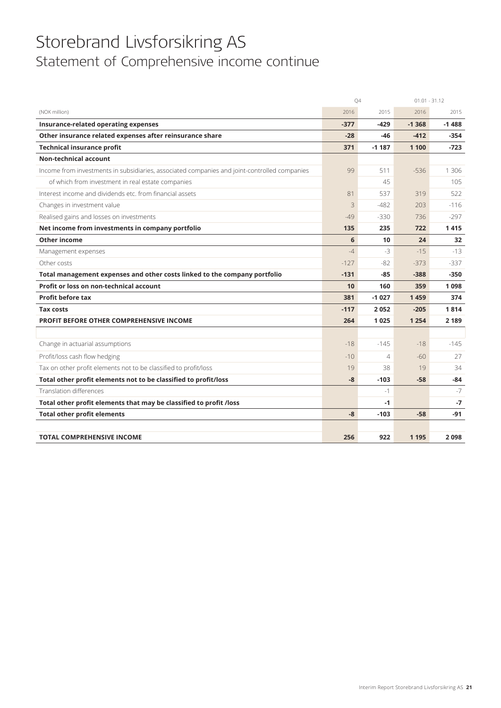## Storebrand Livsforsikring AS Statement of Comprehensive income continue

|                                                                                              | Q4     |                | $01.01 - 31.12$ |         |
|----------------------------------------------------------------------------------------------|--------|----------------|-----------------|---------|
| (NOK million)                                                                                | 2016   | 2015           | 2016            | 2015    |
| Insurance-related operating expenses                                                         | $-377$ | $-429$         | $-1368$         | $-1488$ |
| Other insurance related expenses after reinsurance share                                     | $-28$  | -46            | $-412$          | -354    |
| <b>Technical insurance profit</b>                                                            | 371    | $-1187$        | 1 100           | $-723$  |
| <b>Non-technical account</b>                                                                 |        |                |                 |         |
| Income from investments in subsidiaries, associated companies and joint-controlled companies | 99     | 511            | $-536$          | 1 3 0 6 |
| of which from investment in real estate companies                                            |        | 45             |                 | 105     |
| Interest income and dividends etc. from financial assets                                     | 81     | 537            | 319             | 522     |
| Changes in investment value                                                                  | 3      | $-482$         | 203             | $-116$  |
| Realised gains and losses on investments                                                     | $-49$  | $-330$         | 736             | $-297$  |
| Net income from investments in company portfolio                                             | 135    | 235            | 722             | 1415    |
| <b>Other income</b>                                                                          | 6      | 10             | 24              | 32      |
| Management expenses                                                                          | $-4$   | $-3$           | $-15$           | $-13$   |
| Other costs                                                                                  | $-127$ | $-82$          | $-373$          | $-337$  |
| Total management expenses and other costs linked to the company portfolio                    | $-131$ | $-85$          | $-388$          | $-350$  |
| Profit or loss on non-technical account                                                      | 10     | 160            | 359             | 1098    |
| <b>Profit before tax</b>                                                                     | 381    | $-1027$        | 1459            | 374     |
| <b>Tax costs</b>                                                                             | $-117$ | 2052           | $-205$          | 1814    |
| PROFIT BEFORE OTHER COMPREHENSIVE INCOME                                                     | 264    | 1025           | 1 2 5 4         | 2 1 8 9 |
|                                                                                              |        |                |                 |         |
| Change in actuarial assumptions                                                              | $-18$  | $-145$         | $-18$           | $-145$  |
| Profit/loss cash flow hedging                                                                | $-10$  | $\overline{4}$ | $-60$           | 27      |
| Tax on other profit elements not to be classified to profit/loss                             | 19     | 38             | 19              | 34      |
| Total other profit elements not to be classified to profit/loss                              | $-8$   | $-103$         | $-58$           | $-84$   |
| <b>Translation differences</b>                                                               |        | $-1$           |                 | $-7$    |
| Total other profit elements that may be classified to profit /loss                           |        | $-1$           |                 | $-7$    |
| <b>Total other profit elements</b>                                                           | $-8$   | $-103$         | $-58$           | -91     |
|                                                                                              |        |                |                 |         |
| <b>TOTAL COMPREHENSIVE INCOME</b>                                                            | 256    | 922            | 1 1 9 5         | 2098    |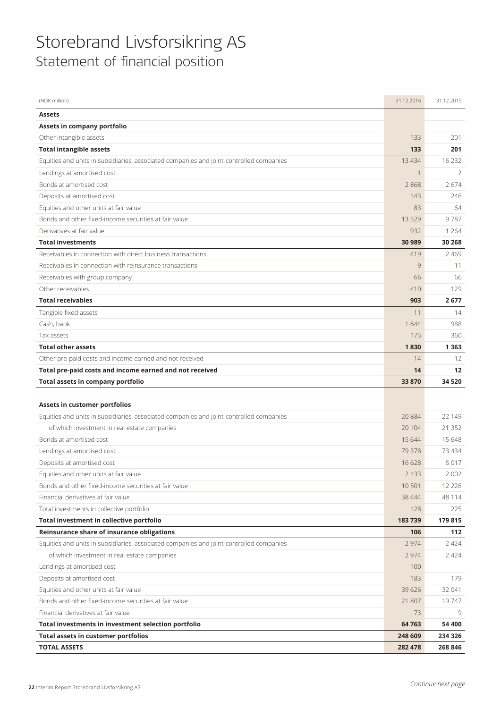## Storebrand Livsforsikring AS Statement of financial position

| (NOK million)                                                                           | 31.12.2016         | 31.12.2015         |
|-----------------------------------------------------------------------------------------|--------------------|--------------------|
| <b>Assets</b>                                                                           |                    |                    |
| Assets in company portfolio                                                             |                    |                    |
| Other intangible assets                                                                 | 133                | 201                |
| <b>Total intangible assets</b>                                                          | 133                | 201                |
| Equities and units in subsidiaries, associated companies and joint-controlled companies | 13 4 34            | 16 2 32            |
| Lendings at amortised cost                                                              | $\mathbf 1$        | $\overline{2}$     |
| Bonds at amortised cost                                                                 | 2868               | 2674               |
| Deposits at amortised cost                                                              | 143                | 246                |
| Equities and other units at fair value                                                  | 83                 | 64                 |
| Bonds and other fixed-income securities at fair value                                   | 13529              | 9787               |
| Derivatives at fair value                                                               | 932                | 1 2 6 4            |
| <b>Total investments</b>                                                                | 30 989             | 30 268             |
| Receivables in connection with direct business transactions                             | 419                | 2469               |
| Receivables in connection with reinsurance transactions                                 | 9                  | 11                 |
| Receivables with group company                                                          | 66                 | 66                 |
| Other receivables                                                                       | 410                | 129                |
| <b>Total receivables</b>                                                                | 903                | 2677               |
| Tangible fixed assets                                                                   | 11                 | 14                 |
| Cash, bank                                                                              | 1644               | 988                |
| Tax assets                                                                              | 175                | 360                |
| <b>Total other assets</b>                                                               | 1830               | 1363               |
| Other pre-paid costs and income earned and not received                                 | 14                 | 12                 |
| Total pre-paid costs and income earned and not received                                 | 14                 | 12                 |
| Total assets in company portfolio                                                       | 33 870             | 34 5 20            |
|                                                                                         |                    |                    |
|                                                                                         |                    |                    |
| Assets in customer portfolios                                                           |                    |                    |
| Equities and units in subsidiaries, associated companies and joint-controlled companies | 20884              | 22 149             |
| of which investment in real estate companies                                            | 20 104             | 21 3 5 2           |
| Bonds at amortised cost                                                                 | 15 644             | 15 6 48            |
| Lendings at amortised cost                                                              | 79 378             | 73434              |
| Deposits at amortised cost                                                              | 16 628             | 6017               |
| Equities and other units at fair value                                                  | 2 133              | 2002               |
| Bonds and other fixed-income securities at fair value                                   | 10 501             | 12 2 2 6           |
| Financial derivatives at fair value                                                     | 38 4 4 4           | 48 1 14            |
| Total investments in collective portfolio                                               | 128                | 225                |
| Total investment in collective portfolio                                                | 183739             | 179 815            |
| Reinsurance share of insurance obligations                                              | 106                | 112                |
| Equities and units in subsidiaries, associated companies and joint-controlled companies | 2 9 7 4            | 2424               |
| of which investment in real estate companies                                            | 2 9 7 4            | 2 4 2 4            |
| Lendings at amortised cost                                                              | 100                |                    |
| Deposits at amortised cost                                                              | 183                | 179                |
| Equities and other units at fair value                                                  | 39 6 26            | 32 041             |
| Bonds and other fixed-income securities at fair value                                   | 21 807             | 19747              |
| Financial derivatives at fair value                                                     | 73                 | 9                  |
| Total investments in investment selection portfolio                                     | 64 763             | 54 400             |
| <b>Total assets in customer portfolios</b><br><b>TOTAL ASSETS</b>                       | 248 609<br>282 478 | 234 326<br>268 846 |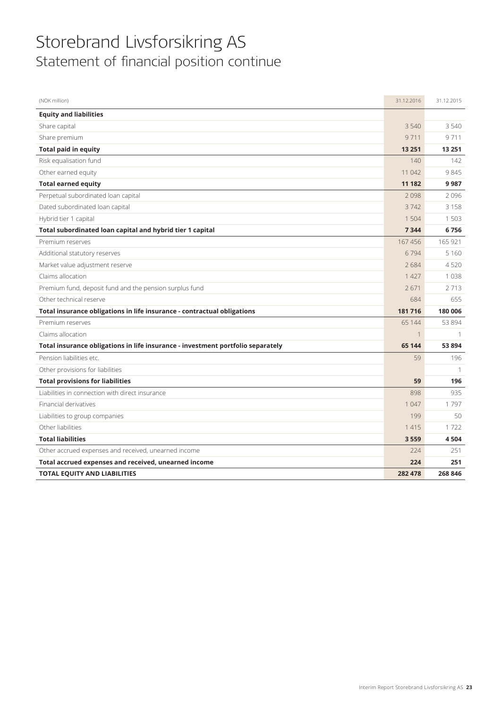## Storebrand Livsforsikring AS Statement of financial position continue

| (NOK million)                                                                   | 31.12.2016  | 31.12.2015    |
|---------------------------------------------------------------------------------|-------------|---------------|
| <b>Equity and liabilities</b>                                                   |             |               |
| Share capital                                                                   | 3 5 4 0     | 3540          |
| Share premium                                                                   | 9711        | 9711          |
| <b>Total paid in equity</b>                                                     | 13 251      | 13 2 51       |
| Risk equalisation fund                                                          | 140         | 142           |
| Other earned equity                                                             | 11 042      | 9845          |
| <b>Total earned equity</b>                                                      | 11 182      | 9987          |
| Perpetual subordinated loan capital                                             | 2098        | 2096          |
| Dated subordinated loan capital                                                 | 3742        | 3158          |
| Hybrid tier 1 capital                                                           | 1 504       | 1503          |
| Total subordinated loan capital and hybrid tier 1 capital                       | 7 3 4 4     | 6756          |
| Premium reserves                                                                | 167456      | 165 921       |
| Additional statutory reserves                                                   | 6794        | 5 1 6 0       |
| Market value adjustment reserve                                                 | 2684        | 4520          |
| Claims allocation                                                               | 1 4 2 7     | 1038          |
| Premium fund, deposit fund and the pension surplus fund                         | 2671        | 2713          |
| Other technical reserve                                                         | 684         | 655           |
| Total insurance obligations in life insurance - contractual obligations         | 181716      | 180 006       |
| Premium reserves                                                                | 65 144      | 53 894        |
| Claims allocation                                                               | $\mathbf 1$ |               |
| Total insurance obligations in life insurance - investment portfolio separately | 65 144      | 53894         |
| Pension liabilities etc.                                                        | 59          | 196           |
| Other provisions for liabilities                                                |             | $\mathcal{I}$ |
| <b>Total provisions for liabilities</b>                                         | 59          | 196           |
| Liabilities in connection with direct insurance                                 | 898         | 935           |
| Financial derivatives                                                           | 1 0 4 7     | 1797          |
| Liabilities to group companies                                                  | 199         | 50            |
| Other liabilities                                                               | 1415        | 1722          |
| <b>Total liabilities</b>                                                        | 3559        | 4504          |
| Other accrued expenses and received, unearned income                            | 224         | 251           |
| Total accrued expenses and received, unearned income                            | 224         | 251           |
| <b>TOTAL EQUITY AND LIABILITIES</b>                                             | 282 478     | 268 846       |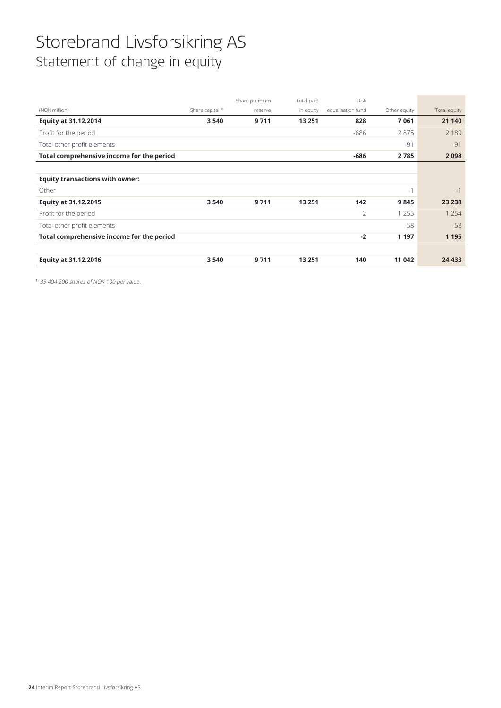## Storebrand Livsforsikring AS Statement of change in equity

|                                           |                             | Share premium | Total paid | <b>Risk</b>       |              |              |
|-------------------------------------------|-----------------------------|---------------|------------|-------------------|--------------|--------------|
| (NOK million)                             | Share capital <sup>1)</sup> | reserve       | in equity  | equalisation fund | Other equity | Total equity |
| <b>Equity at 31.12.2014</b>               | 3 5 4 0                     | 9711          | 13 251     | 828               | 7061         | 21 140       |
| Profit for the period                     |                             |               |            | -686              | 2875         | 2 1 8 9      |
| Total other profit elements               |                             |               |            |                   | $-91$        | $-91$        |
| Total comprehensive income for the period |                             |               |            | -686              | 2785         | 2098         |
|                                           |                             |               |            |                   |              |              |
| <b>Equity transactions with owner:</b>    |                             |               |            |                   |              |              |
| Other                                     |                             |               |            |                   | $-1$         | $-1$         |
| Equity at 31.12.2015                      | 3 5 4 0                     | 9711          | 13 251     | 142               | 9845         | 23 2 38      |
| Profit for the period                     |                             |               |            | $-2$              | 1 2 5 5      | 1 2 5 4      |
| Total other profit elements               |                             |               |            |                   | $-58$        | $-58$        |
| Total comprehensive income for the period |                             |               |            | $-2$              | 1 1 9 7      | 1 1 9 5      |
|                                           |                             |               |            |                   |              |              |
| <b>Equity at 31.12.2016</b>               | 3540                        | 9711          | 13 2 51    | 140               | 11 042       | 24 4 33      |

1) 35 404 200 shares of NOK 100 per value.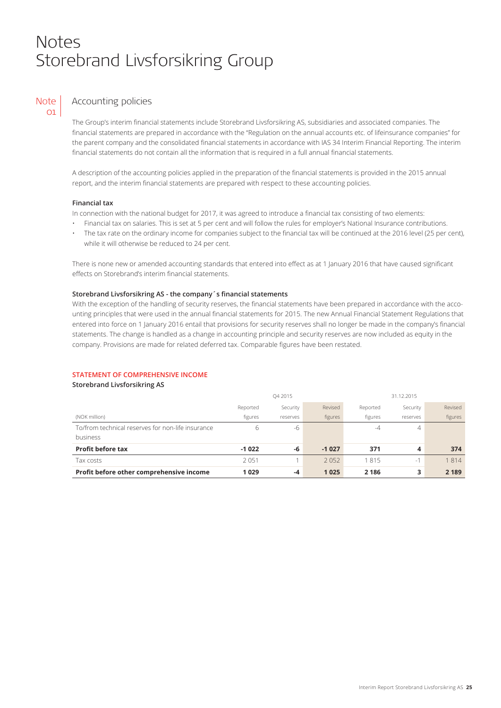### Notes Storebrand Livsforsikring Group



### Accounting policies

The Group's interim financial statements include Storebrand Livsforsikring AS, subsidiaries and associated companies. The financial statements are prepared in accordance with the "Regulation on the annual accounts etc. of lifeinsurance companies" for the parent company and the consolidated financial statements in accordance with IAS 34 Interim Financial Reporting. The interim financial statements do not contain all the information that is required in a full annual financial statements.

A description of the accounting policies applied in the preparation of the financial statements is provided in the 2015 annual report, and the interim financial statements are prepared with respect to these accounting policies.

### **Financial tax**

In connection with the national budget for 2017, it was agreed to introduce a financial tax consisting of two elements:

- Financial tax on salaries. This is set at 5 per cent and will follow the rules for employer's National Insurance contributions.
- The tax rate on the ordinary income for companies subject to the financial tax will be continued at the 2016 level (25 per cent), while it will otherwise be reduced to 24 per cent.

There is none new or amended accounting standards that entered into effect as at 1 January 2016 that have caused significant effects on Storebrand's interim financial statements.

### **Storebrand Livsforsikring AS - the company´s financial statements**

With the exception of the handling of security reserves, the financial statements have been prepared in accordance with the accounting principles that were used in the annual financial statements for 2015. The new Annual Financial Statement Regulations that entered into force on 1 January 2016 entail that provisions for security reserves shall no longer be made in the company's financial statements. The change is handled as a change in accounting principle and security reserves are now included as equity in the company. Provisions are made for related deferred tax. Comparable figures have been restated.

### **STATEMENT OF COMPREHENSIVE INCOME**

#### **Storebrand Livsforsikring AS**

|                                                   | Q4 2015  |          |         | 31.12.2015 |          |         |
|---------------------------------------------------|----------|----------|---------|------------|----------|---------|
|                                                   | Reported | Security | Revised | Reported   | Security | Revised |
| (NOK million)                                     | figures  | reserves | figures | figures    | reserves | figures |
| To/from technical reserves for non-life insurance | h        | -6       |         | -4         | 4        |         |
| business                                          |          |          |         |            |          |         |
| <b>Profit before tax</b>                          | $-1022$  | -6       | $-1027$ | 371        | 4        | 374     |
| Tax costs                                         | 2051     |          | 2052    | 1815       | $-1$     | 1814    |
| Profit before other comprehensive income          | 1029     | -4       | 1025    | 2 1 8 6    | 3        | 2 1 8 9 |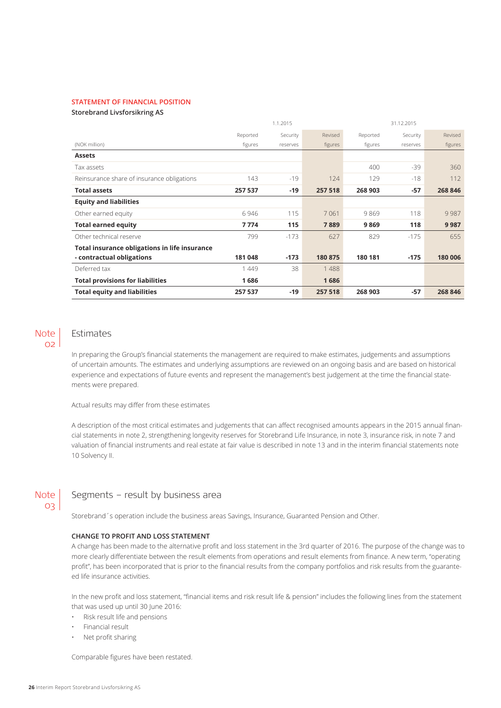### **STATEMENT OF FINANCIAL POSITION**

#### **Storebrand Livsforsikring AS**

|                                               |          | 1.1.2015 |         |          | 31.12.2015 |         |
|-----------------------------------------------|----------|----------|---------|----------|------------|---------|
|                                               | Reported | Security | Revised | Reported | Security   | Revised |
| (NOK million)                                 | figures  | reserves | figures | figures  | reserves   | figures |
| <b>Assets</b>                                 |          |          |         |          |            |         |
| Tax assets                                    |          |          |         | 400      | $-39$      | 360     |
| Reinsurance share of insurance obligations    | 143      | $-19$    | 124     | 129      | $-18$      | 112     |
| <b>Total assets</b>                           | 257 537  | $-19$    | 257 518 | 268 903  | $-57$      | 268 846 |
| <b>Equity and liabilities</b>                 |          |          |         |          |            |         |
| Other earned equity                           | 6946     | 115      | 7061    | 9869     | 118        | 9987    |
| <b>Total earned equity</b>                    | 7774     | 115      | 7889    | 9869     | 118        | 9987    |
| Other technical reserve                       | 799      | $-173$   | 627     | 829      | $-175$     | 655     |
| Total insurance obligations in life insurance |          |          |         |          |            |         |
| - contractual obligations                     | 181 048  | $-173$   | 180 875 | 180 181  | $-175$     | 180 006 |
| Deferred tax                                  | 1449     | 38       | 1488    |          |            |         |
| <b>Total provisions for liabilities</b>       | 1686     |          | 1686    |          |            |         |
| <b>Total equity and liabilities</b>           | 257 537  | $-19$    | 257 518 | 268 903  | $-57$      | 268 846 |

### Note  $O<sub>2</sub>$

### Estimates

In preparing the Group's financial statements the management are required to make estimates, judgements and assumptions of uncertain amounts. The estimates and underlying assumptions are reviewed on an ongoing basis and are based on historical experience and expectations of future events and represent the management's best judgement at the time the financial statements were prepared.

Actual results may differ from these estimates

A description of the most critical estimates and judgements that can affect recognised amounts appears in the 2015 annual financial statements in note 2, strengthening longevity reserves for Storebrand Life Insurance, in note 3, insurance risk, in note 7 and valuation of financial instruments and real estate at fair value is described in note 13 and in the interim financial statements note 10 Solvency II.

### Note 03

### Segments – result by business area

Storebrand´s operation include the business areas Savings, Insurance, Guaranted Pension and Other.

### **CHANGE TO PROFIT AND LOSS STATEMENT**

A change has been made to the alternative profit and loss statement in the 3rd quarter of 2016. The purpose of the change was to more clearly differentiate between the result elements from operations and result elements from finance. A new term, "operating profit", has been incorporated that is prior to the financial results from the company portfolios and risk results from the guaranteed life insurance activities.

In the new profit and loss statement, "financial items and risk result life & pension" includes the following lines from the statement that was used up until 30 June 2016:

- Risk result life and pensions
- Financial result
- Net profit sharing

Comparable figures have been restated.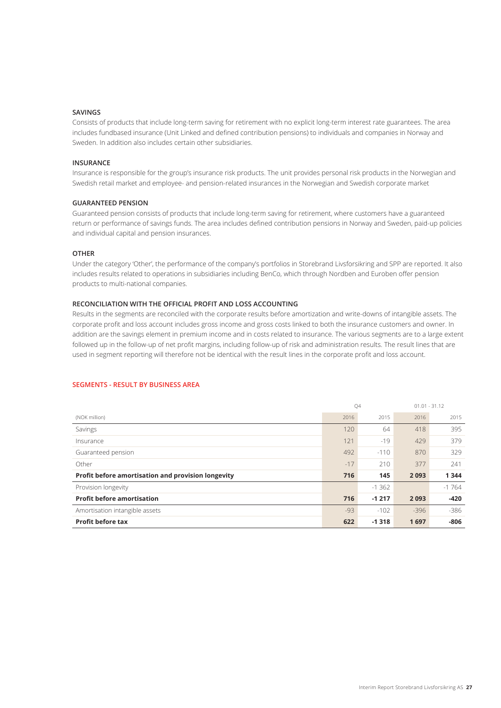### **SAVINGS**

Consists of products that include long-term saving for retirement with no explicit long-term interest rate guarantees. The area includes fundbased insurance (Unit Linked and defined contribution pensions) to individuals and companies in Norway and Sweden. In addition also includes certain other subsidiaries.

### **INSURANCE**

Insurance is responsible for the group's insurance risk products. The unit provides personal risk products in the Norwegian and Swedish retail market and employee- and pension-related insurances in the Norwegian and Swedish corporate market

### **GUARANTEED PENSION**

Guaranteed pension consists of products that include long-term saving for retirement, where customers have a guaranteed return or performance of savings funds. The area includes defined contribution pensions in Norway and Sweden, paid-up policies and individual capital and pension insurances.

### **OTHER**

Under the category 'Other', the performance of the company's portfolios in Storebrand Livsforsikring and SPP are reported. It also includes results related to operations in subsidiaries including BenCo, which through Nordben and Euroben offer pension products to multi-national companies.

### **RECONCILIATION WITH THE OFFICIAL PROFIT AND LOSS ACCOUNTING**

Results in the segments are reconciled with the corporate results before amortization and write-downs of intangible assets. The corporate profit and loss account includes gross income and gross costs linked to both the insurance customers and owner. In addition are the savings element in premium income and in costs related to insurance. The various segments are to a large extent followed up in the follow-up of net profit margins, including follow-up of risk and administration results. The result lines that are used in segment reporting will therefore not be identical with the result lines in the corporate profit and loss account.

### **SEGMENTS - RESULT BY BUSINESS AREA**

|                                                    |       | Q4       |        | $01.01 - 31.12$ |
|----------------------------------------------------|-------|----------|--------|-----------------|
| (NOK million)                                      | 2016  | 2015     | 2016   | 2015            |
| Savings                                            | 120   | 64       | 418    | 395             |
| Insurance                                          | 121   | $-19$    | 429    | 379             |
| Guaranteed pension                                 | 492   | $-110$   | 870    | 329             |
| Other                                              | $-17$ | 210      | 377    | 241             |
| Profit before amortisation and provision longevity | 716   | 145      | 2093   | 1344            |
| Provision longevity                                |       | $-1.362$ |        | $-1764$         |
| <b>Profit before amortisation</b>                  | 716   | $-1217$  | 2093   | $-420$          |
| Amortisation intangible assets                     | $-93$ | $-102$   | $-396$ | $-386$          |
| <b>Profit before tax</b>                           | 622   | $-1318$  | 1697   | $-806$          |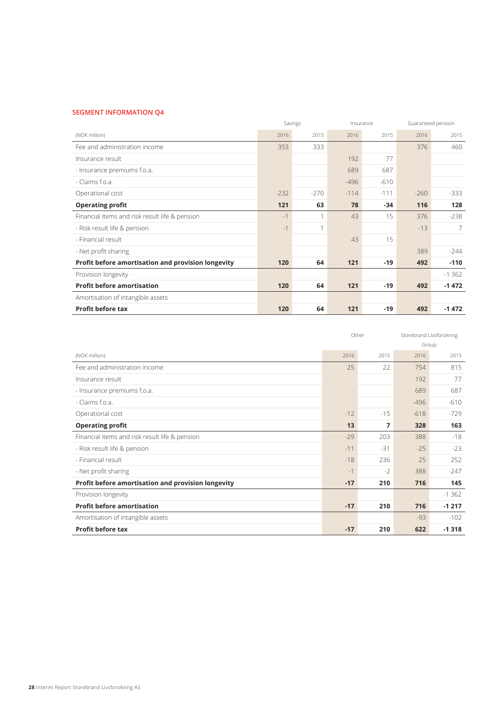### **SEGMENT INFORMATION Q4**

|                                                    |        | Savings       |        | Insurance |        | Guaranteed pension |
|----------------------------------------------------|--------|---------------|--------|-----------|--------|--------------------|
| (NOK million)                                      | 2016   | 2015          | 2016   | 2015      | 2016   | 2015               |
| Fee and administration income                      | 353    | 333           |        |           | 376    | 460                |
| Insurance result                                   |        |               | 192    | 77        |        |                    |
| - Insurance premiums f.o.a.                        |        |               | 689    | 687       |        |                    |
| - Claims f.o.a.                                    |        |               | $-496$ | $-610$    |        |                    |
| Operational cost                                   | $-232$ | $-270$        | $-114$ | $-111$    | $-260$ | $-333$             |
| <b>Operating profit</b>                            | 121    | 63            | 78     | $-34$     | 116    | 128                |
| Financial items and risk result life & pension     | $-1$   | $\mathcal{I}$ | 43     | 15        | 376    | $-238$             |
| - Risk result life & pension                       | $-1$   | 1             |        |           | $-13$  | 7                  |
| - Financial result                                 |        |               | 43     | 15        |        |                    |
| - Net profit sharing                               |        |               |        |           | 389    | $-244$             |
| Profit before amortisation and provision longevity | 120    | 64            | 121    | $-19$     | 492    | $-110$             |
| Provision longevity                                |        |               |        |           |        | $-1362$            |
| <b>Profit before amortisation</b>                  | 120    | 64            | 121    | $-19$     | 492    | $-1472$            |
| Amortisation of intangible assets                  |        |               |        |           |        |                    |
| <b>Profit before tax</b>                           | 120    | 64            | 121    | $-19$     | 492    | $-1472$            |

|                                                    |       | Other |        | Storebrand Livsforsikring |
|----------------------------------------------------|-------|-------|--------|---------------------------|
|                                                    |       |       |        | Group                     |
| (NOK million)                                      | 2016  | 2015  | 2016   | 2015                      |
| Fee and administration income                      | 25    | 22    | 754    | 815                       |
| Insurance result                                   |       |       | 192    | 77                        |
| - Insurance premiums f.o.a.                        |       |       | 689    | 687                       |
| - Claims f.o.a.                                    |       |       | $-496$ | $-610$                    |
| Operational cost                                   | $-12$ | $-15$ | $-618$ | $-729$                    |
| <b>Operating profit</b>                            | 13    | 7     | 328    | 163                       |
| Financial items and risk result life & pension     | $-29$ | 203   | 388    | $-18$                     |
| - Risk result life & pension                       | $-11$ | $-31$ | $-25$  | $-23$                     |
| - Financial result                                 | $-18$ | 236   | 25     | 252                       |
| - Net profit sharing                               | $-1$  | $-2$  | 388    | $-247$                    |
| Profit before amortisation and provision longevity | $-17$ | 210   | 716    | 145                       |
| Provision longevity                                |       |       |        | $-1362$                   |
| <b>Profit before amortisation</b>                  | $-17$ | 210   | 716    | $-1217$                   |
| Amortisation of intangible assets                  |       |       | $-93$  | $-102$                    |
| <b>Profit before tax</b>                           | $-17$ | 210   | 622    | $-1318$                   |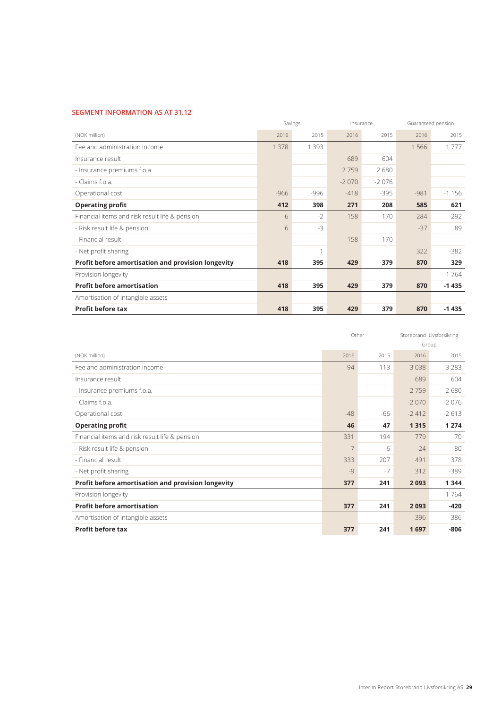### **SEGMENT INFORMATION AS AT 31.12**

|                                                    |         | Savings |         | Insurance | Guaranteed pension |         |
|----------------------------------------------------|---------|---------|---------|-----------|--------------------|---------|
| (NOK million)                                      | 2016    | 2015    | 2016    | 2015      | 2016               | 2015    |
| Fee and administration income                      | 1 3 7 8 | 1 3 9 3 |         |           | 1566               | 1777    |
| Insurance result                                   |         |         | 689     | 604       |                    |         |
| - Insurance premiums f.o.a.                        |         |         | 2759    | 2680      |                    |         |
| - Claims f.o.a.                                    |         |         | $-2070$ | $-2076$   |                    |         |
| Operational cost                                   | $-966$  | $-996$  | $-418$  | $-395$    | $-981$             | $-1156$ |
| <b>Operating profit</b>                            | 412     | 398     | 271     | 208       | 585                | 621     |
| Financial items and risk result life & pension     | 6       | $-2$    | 158     | 170       | 284                | $-292$  |
| - Risk result life & pension                       | 6       | $-3$    |         |           | $-37$              | 89      |
| - Financial result                                 |         |         | 158     | 170       |                    |         |
| - Net profit sharing                               |         | 1       |         |           | 322                | $-382$  |
| Profit before amortisation and provision longevity | 418     | 395     | 429     | 379       | 870                | 329     |
| Provision longevity                                |         |         |         |           |                    | $-1764$ |
| <b>Profit before amortisation</b>                  | 418     | 395     | 429     | 379       | 870                | $-1435$ |
| Amortisation of intangible assets                  |         |         |         |           |                    |         |
| <b>Profit before tax</b>                           | 418     | 395     | 429     | 379       | 870                | $-1435$ |

|                                                    |                | Other |         | Storebrand Livsforsikring |
|----------------------------------------------------|----------------|-------|---------|---------------------------|
|                                                    |                |       |         | Group                     |
| (NOK million)                                      | 2016           | 2015  | 2016    | 2015                      |
| Fee and administration income                      | 94             | 113   | 3038    | 3 2 8 3                   |
| Insurance result                                   |                |       | 689     | 604                       |
| - Insurance premiums f.o.a.                        |                |       | 2759    | 2680                      |
| - Claims f.o.a.                                    |                |       | $-2070$ | $-2076$                   |
| Operational cost                                   | $-48$          | -66   | $-2412$ | $-2613$                   |
| <b>Operating profit</b>                            | 46             | 47    | 1315    | 1 2 7 4                   |
| Financial items and risk result life & pension     | 331            | 194   | 779     | 70                        |
| - Risk result life & pension                       | $\overline{7}$ | $-6$  | $-24$   | 80                        |
| - Financial result                                 | 333            | 207   | 491     | 378                       |
| - Net profit sharing                               | $-9$           | $-7$  | 312     | $-389$                    |
| Profit before amortisation and provision longevity | 377            | 241   | 2093    | 1344                      |
| Provision longevity                                |                |       |         | $-1764$                   |
| <b>Profit before amortisation</b>                  | 377            | 241   | 2093    | -420                      |
| Amortisation of intangible assets                  |                |       | $-396$  | $-386$                    |
| <b>Profit before tax</b>                           | 377            | 241   | 1697    | $-806$                    |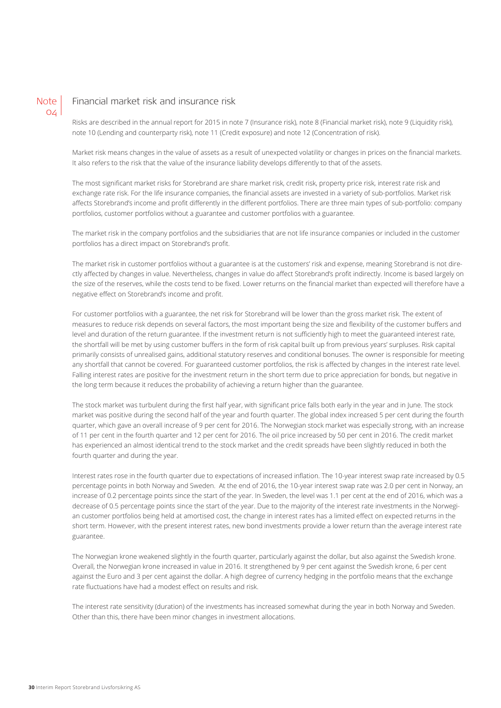

### Financial market risk and insurance risk

Risks are described in the annual report for 2015 in note 7 (Insurance risk), note 8 (Financial market risk), note 9 (Liquidity risk), note 10 (Lending and counterparty risk), note 11 (Credit exposure) and note 12 (Concentration of risk).

Market risk means changes in the value of assets as a result of unexpected volatility or changes in prices on the financial markets. It also refers to the risk that the value of the insurance liability develops differently to that of the assets.

The most significant market risks for Storebrand are share market risk, credit risk, property price risk, interest rate risk and exchange rate risk. For the life insurance companies, the financial assets are invested in a variety of sub-portfolios. Market risk affects Storebrand's income and profit differently in the different portfolios. There are three main types of sub-portfolio: company portfolios, customer portfolios without a guarantee and customer portfolios with a guarantee.

The market risk in the company portfolios and the subsidiaries that are not life insurance companies or included in the customer portfolios has a direct impact on Storebrand's profit.

The market risk in customer portfolios without a guarantee is at the customers' risk and expense, meaning Storebrand is not directly affected by changes in value. Nevertheless, changes in value do affect Storebrand's profit indirectly. Income is based largely on the size of the reserves, while the costs tend to be fixed. Lower returns on the financial market than expected will therefore have a negative effect on Storebrand's income and profit.

For customer portfolios with a guarantee, the net risk for Storebrand will be lower than the gross market risk. The extent of measures to reduce risk depends on several factors, the most important being the size and flexibility of the customer buffers and level and duration of the return guarantee. If the investment return is not sufficiently high to meet the guaranteed interest rate, the shortfall will be met by using customer buffers in the form of risk capital built up from previous years' surpluses. Risk capital primarily consists of unrealised gains, additional statutory reserves and conditional bonuses. The owner is responsible for meeting any shortfall that cannot be covered. For guaranteed customer portfolios, the risk is affected by changes in the interest rate level. Falling interest rates are positive for the investment return in the short term due to price appreciation for bonds, but negative in the long term because it reduces the probability of achieving a return higher than the guarantee.

The stock market was turbulent during the first half year, with significant price falls both early in the year and in June. The stock market was positive during the second half of the year and fourth quarter. The global index increased 5 per cent during the fourth quarter, which gave an overall increase of 9 per cent for 2016. The Norwegian stock market was especially strong, with an increase of 11 per cent in the fourth quarter and 12 per cent for 2016. The oil price increased by 50 per cent in 2016. The credit market has experienced an almost identical trend to the stock market and the credit spreads have been slightly reduced in both the fourth quarter and during the year.

Interest rates rose in the fourth quarter due to expectations of increased inflation. The 10-year interest swap rate increased by 0.5 percentage points in both Norway and Sweden. At the end of 2016, the 10-year interest swap rate was 2.0 per cent in Norway, an increase of 0.2 percentage points since the start of the year. In Sweden, the level was 1.1 per cent at the end of 2016, which was a decrease of 0.5 percentage points since the start of the year. Due to the majority of the interest rate investments in the Norwegian customer portfolios being held at amortised cost, the change in interest rates has a limited effect on expected returns in the short term. However, with the present interest rates, new bond investments provide a lower return than the average interest rate guarantee.

The Norwegian krone weakened slightly in the fourth quarter, particularly against the dollar, but also against the Swedish krone. Overall, the Norwegian krone increased in value in 2016. It strengthened by 9 per cent against the Swedish krone, 6 per cent against the Euro and 3 per cent against the dollar. A high degree of currency hedging in the portfolio means that the exchange rate fluctuations have had a modest effect on results and risk.

The interest rate sensitivity (duration) of the investments has increased somewhat during the year in both Norway and Sweden. Other than this, there have been minor changes in investment allocations.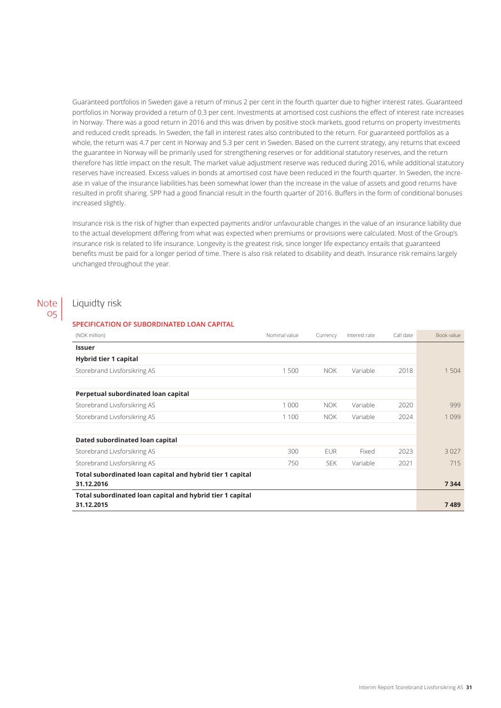Guaranteed portfolios in Sweden gave a return of minus 2 per cent in the fourth quarter due to higher interest rates. Guaranteed portfolios in Norway provided a return of 0.3 per cent. Investments at amortised cost cushions the effect of interest rate increases in Norway. There was a good return in 2016 and this was driven by positive stock markets, good returns on property investments and reduced credit spreads. In Sweden, the fall in interest rates also contributed to the return. For guaranteed portfolios as a whole, the return was 4.7 per cent in Norway and 5.3 per cent in Sweden. Based on the current strategy, any returns that exceed the guarantee in Norway will be primarily used for strengthening reserves or for additional statutory reserves, and the return therefore has little impact on the result. The market value adjustment reserve was reduced during 2016, while additional statutory reserves have increased. Excess values in bonds at amortised cost have been reduced in the fourth quarter. In Sweden, the increase in value of the insurance liabilities has been somewhat lower than the increase in the value of assets and good returns have resulted in profit sharing. SPP had a good financial result in the fourth quarter of 2016. Buffers in the form of conditional bonuses increased slightly.

Insurance risk is the risk of higher than expected payments and/or unfavourable changes in the value of an insurance liability due to the actual development differing from what was expected when premiums or provisions were calculated. Most of the Group's insurance risk is related to life insurance. Longevity is the greatest risk, since longer life expectancy entails that guaranteed benefits must be paid for a longer period of time. There is also risk related to disability and death. Insurance risk remains largely unchanged throughout the year.

#### Liquidty risk Note

05

### **SPECIFICATION OF SUBORDINATED LOAN CAPITAL**

| (NOK million)                                             | Nominal value | Currency   | Interest rate | Call date | Book value |
|-----------------------------------------------------------|---------------|------------|---------------|-----------|------------|
| <b>Issuer</b>                                             |               |            |               |           |            |
| Hybrid tier 1 capital                                     |               |            |               |           |            |
| Storebrand Livsforsikring AS                              | 1500          | <b>NOK</b> | Variable      | 2018      | 1 504      |
|                                                           |               |            |               |           |            |
| Perpetual subordinated loan capital                       |               |            |               |           |            |
| Storebrand Livsforsikring AS                              | 1 0 0 0       | NOK.       | Variable      | 2020      | 999        |
| Storebrand Livsforsikring AS                              | 1 1 0 0       | NOK.       | Variable      | 2024      | 1099       |
|                                                           |               |            |               |           |            |
| Dated subordinated loan capital                           |               |            |               |           |            |
| Storebrand Livsforsikring AS                              | 300           | <b>EUR</b> | Fixed         | 2023      | 3027       |
| Storebrand Livsforsikring AS                              | 750           | SEK.       | Variable      | 2021      | 715        |
| Total subordinated loan capital and hybrid tier 1 capital |               |            |               |           |            |
| 31.12.2016                                                |               |            |               |           | 7344       |
| Total subordinated loan capital and hybrid tier 1 capital |               |            |               |           |            |
| 31.12.2015                                                |               |            |               |           | 7489       |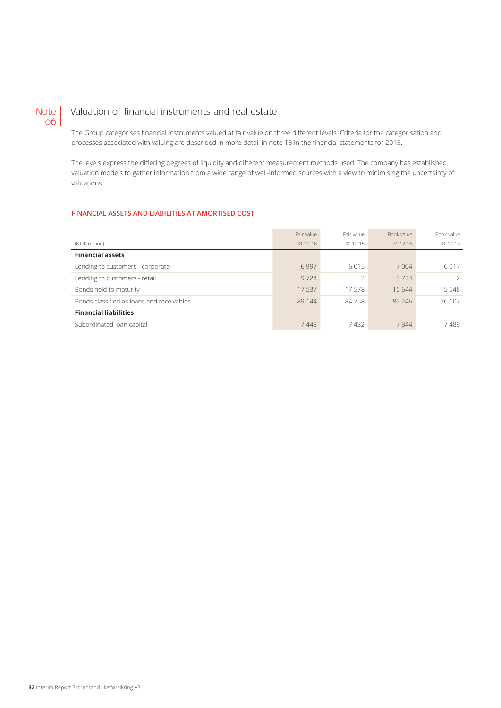#### Valuation of financial instruments and real estate Note 06

The Group categorises financial instruments valued at fair value on three different levels. Criteria for the categorisation and processes associated with valuing are described in more detail in note 13 in the financial statements for 2015.

The levels express the differing degrees of liquidity and different measurement methods used. The company has established valuation models to gather information from a wide range of well-informed sources with a view to minimising the uncertainty of valuations.

### **FINANCIAL ASSETS AND LIABILITIES AT AMORTISED COST**

|                                           | Fair value | Fair value | Book value | Book value |
|-------------------------------------------|------------|------------|------------|------------|
| (NOK million)                             | 31.12.16   | 31.12.15   | 31.12.16   | 31.12.15   |
| <b>Financial assets</b>                   |            |            |            |            |
| Lending to customers - corporate          | 6997       | 6015       | 7 0 0 4    | 6017       |
| Lending to customers - retail             | 9724       |            | 9724       |            |
| Bonds held to maturity                    | 17537      | 17578      | 15644      | 15 648     |
| Bonds classified as loans and receivables | 89 144     | 84758      | 82 246     | 76 107     |
| <b>Financial liabilities</b>              |            |            |            |            |
| Subordinated loan capital                 | 7443       | 7432       | 7344       | 7489       |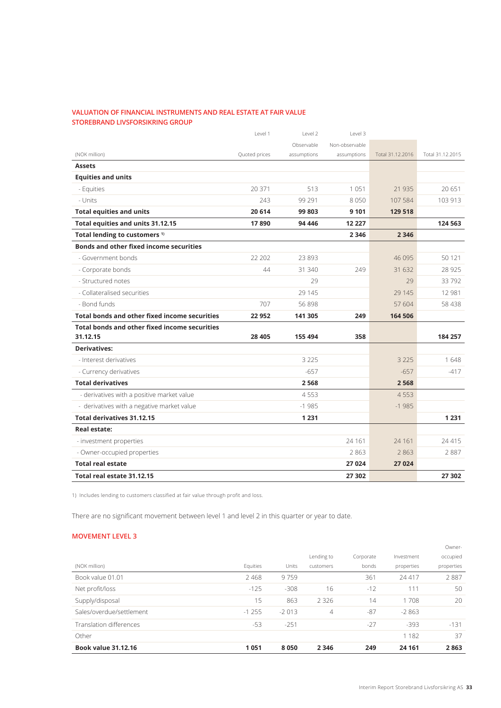### **VALUATION OF FINANCIAL INSTRUMENTS AND REAL ESTATE AT FAIR VALUE STOREBRAND LIVSFORSIKRING GROUP**

|                                                | Level 1       | Level 2     | Level 3        |                  |                  |
|------------------------------------------------|---------------|-------------|----------------|------------------|------------------|
|                                                |               | Observable  | Non-observable |                  |                  |
| (NOK million)                                  | Quoted prices | assumptions | assumptions    | Total 31.12.2016 | Total 31.12.2015 |
| <b>Assets</b>                                  |               |             |                |                  |                  |
| <b>Equities and units</b>                      |               |             |                |                  |                  |
| - Equities                                     | 20 371        | 513         | 1051           | 21 9 35          | 20651            |
| - Units                                        | 243           | 99 291      | 8050           | 107 584          | 103 913          |
| <b>Total equities and units</b>                | 20 614        | 99 803      | 9 1 0 1        | 129 518          |                  |
| Total equities and units 31.12.15              | 17890         | 94 44 6     | 12 2 2 7       |                  | 124 563          |
| Total lending to customers <sup>1)</sup>       |               |             | 2 3 4 6        | 2 3 4 6          |                  |
| <b>Bonds and other fixed income securities</b> |               |             |                |                  |                  |
| - Government bonds                             | 22 20 2       | 23 893      |                | 46 095           | 50 121           |
| - Corporate bonds                              | 44            | 31 340      | 249            | 31 632           | 28 9 25          |
| - Structured notes                             |               | 29          |                | 29               | 33792            |
| - Collateralised securities                    |               | 29 1 45     |                | 29 145           | 12 981           |
| - Bond funds                                   | 707           | 56 898      |                | 57 604           | 58 438           |
| Total bonds and other fixed income securities  | 22 952        | 141 305     | 249            | 164 506          |                  |
| Total bonds and other fixed income securities  |               |             |                |                  |                  |
| 31.12.15                                       | 28 4 05       | 155 494     | 358            |                  | 184 257          |
| <b>Derivatives:</b>                            |               |             |                |                  |                  |
| - Interest derivatives                         |               | 3 2 2 5     |                | 3 2 2 5          | 1648             |
| - Currency derivatives                         |               | $-657$      |                | $-657$           | $-417$           |
| <b>Total derivatives</b>                       |               | 2568        |                | 2568             |                  |
| - derivatives with a positive market value     |               | 4553        |                | 4553             |                  |
| - derivatives with a negative market value     |               | $-1985$     |                | $-1985$          |                  |
| Total derivatives 31.12.15                     |               | 1 2 3 1     |                |                  | 1 2 3 1          |
| <b>Real estate:</b>                            |               |             |                |                  |                  |
| - investment properties                        |               |             | 24 161         | 24 1 6 1         | 24 4 15          |
| - Owner-occupied properties                    |               |             | 2863           | 2863             | 2887             |
| <b>Total real estate</b>                       |               |             | 27 024         | 27 0 24          |                  |
| Total real estate 31.12.15                     |               |             | 27 302         |                  | 27 302           |

1) Includes lending to customers classified at fair value through profit and loss.

There are no significant movement between level 1 and level 2 in this quarter or year to date.

### **MOVEMENT LEVEL 3**

| <b>Book value 31.12.16</b> | 1051     | 8050    | 2 3 4 6        | 249       | 24 161     | 2863       |
|----------------------------|----------|---------|----------------|-----------|------------|------------|
| Other                      |          |         |                |           | 1 1 8 2    | 37         |
| Translation differences    | $-53$    | $-251$  |                | $-27$     | $-393$     | $-131$     |
| Sales/overdue/settlement   | $-1255$  | $-2013$ | $\overline{4}$ | $-87$     | $-2863$    |            |
| Supply/disposal            | 15       | 863     | 2 3 2 6        | 14        | 1708       | 20         |
| Net profit/loss            | $-125$   | $-308$  | 16             | $-12$     | 111        | 50         |
| Book value 01.01           | 2468     | 9759    |                | 361       | 24 417     | 2887       |
| (NOK million)              | Equities | Units   | customers      | bonds     | properties | properties |
|                            |          |         | Lending to     | Corporate | Investment | occupied   |
|                            |          |         |                |           |            | Owner-     |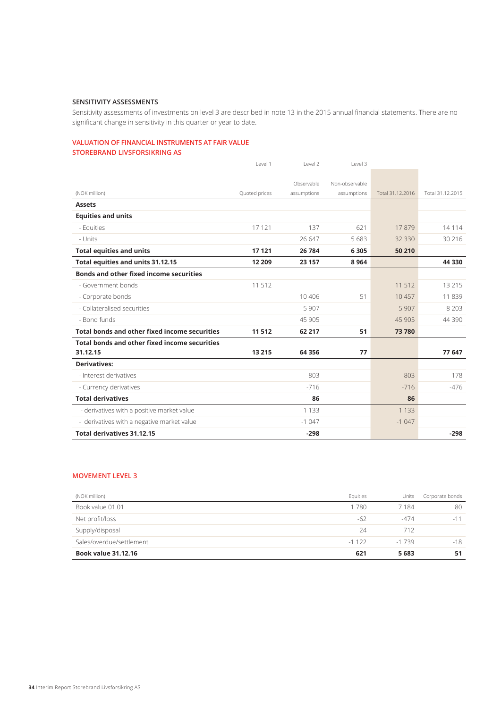### **SENSITIVITY ASSESSMENTS**

Sensitivity assessments of investments on level 3 are described in note 13 in the 2015 annual financial statements. There are no significant change in sensitivity in this quarter or year to date.

### **VALUATION OF FINANCIAL INSTRUMENTS AT FAIR VALUE STOREBRAND LIVSFORSIKRING AS**

|                                                      | Level 1       | Level 2     | Level 3        |                  |                  |
|------------------------------------------------------|---------------|-------------|----------------|------------------|------------------|
|                                                      |               |             |                |                  |                  |
|                                                      |               | Observable  | Non-observable |                  |                  |
| (NOK million)                                        | Quoted prices | assumptions | assumptions    | Total 31.12.2016 | Total 31.12.2015 |
| <b>Assets</b>                                        |               |             |                |                  |                  |
| <b>Equities and units</b>                            |               |             |                |                  |                  |
| - Equities                                           | 17 12 1       | 137         | 621            | 17879            | 14 1 14          |
| - Units                                              |               | 26 647      | 5683           | 32 3 30          | 30 216           |
| <b>Total equities and units</b>                      | 17 121        | 26 784      | 6 3 0 5        | 50 210           |                  |
| Total equities and units 31.12.15                    | 12 209        | 23 157      | 8 9 6 4        |                  | 44 3 30          |
| <b>Bonds and other fixed income securities</b>       |               |             |                |                  |                  |
| - Government bonds                                   | 11 512        |             |                | 11 512           | 13 21 5          |
| - Corporate bonds                                    |               | 10 40 6     | 51             | 10457            | 11839            |
| - Collateralised securities                          |               | 5907        |                | 5 9 0 7          | 8 2 0 3          |
| - Bond funds                                         |               | 45 905      |                | 45 905           | 44 3 9 0         |
| Total bonds and other fixed income securities        | 11512         | 62 217      | 51             | 73780            |                  |
| <b>Total bonds and other fixed income securities</b> |               |             |                |                  |                  |
| 31.12.15                                             | 13 215        | 64 35 6     | 77             |                  | 77 647           |
| <b>Derivatives:</b>                                  |               |             |                |                  |                  |
| - Interest derivatives                               |               | 803         |                | 803              | 178              |
| - Currency derivatives                               |               | $-716$      |                | $-716$           | $-476$           |
| <b>Total derivatives</b>                             |               | 86          |                | 86               |                  |
| - derivatives with a positive market value           |               | 1 1 3 3     |                | 1 1 3 3          |                  |
| - derivatives with a negative market value           |               | $-1047$     |                | $-1047$          |                  |
| <b>Total derivatives 31.12.15</b>                    |               | $-298$      |                |                  | $-298$           |

### **MOVEMENT LEVEL 3**

| (NOK million)              | Equities | Units   | Corporate bonds |
|----------------------------|----------|---------|-----------------|
| Book value 01.01           | 1780     | 7184    | 80              |
| Net profit/loss            | -62      | $-474$  | $-11$           |
| Supply/disposal            | 24       | 712     |                 |
| Sales/overdue/settlement   | $-1122$  | $-1739$ | $-18$           |
| <b>Book value 31.12.16</b> | 621      | 5 6 8 3 | 51              |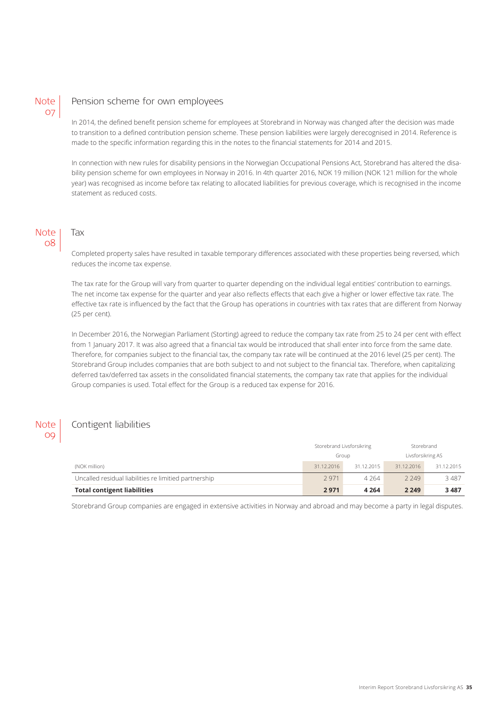### **Note** 07

### Pension scheme for own employees

In 2014, the defined benefit pension scheme for employees at Storebrand in Norway was changed after the decision was made to transition to a defined contribution pension scheme. These pension liabilities were largely derecognised in 2014. Reference is made to the specific information regarding this in the notes to the financial statements for 2014 and 2015.

In connection with new rules for disability pensions in the Norwegian Occupational Pensions Act, Storebrand has altered the disability pension scheme for own employees in Norway in 2016. In 4th quarter 2016, NOK 19 million (NOK 121 million for the whole year) was recognised as income before tax relating to allocated liabilities for previous coverage, which is recognised in the income statement as reduced costs.

### **Note** 08

Tax

Completed property sales have resulted in taxable temporary differences associated with these properties being reversed, which reduces the income tax expense.

The tax rate for the Group will vary from quarter to quarter depending on the individual legal entities' contribution to earnings. The net income tax expense for the quarter and year also reflects effects that each give a higher or lower effective tax rate. The effective tax rate is influenced by the fact that the Group has operations in countries with tax rates that are different from Norway (25 per cent).

In December 2016, the Norwegian Parliament (Storting) agreed to reduce the company tax rate from 25 to 24 per cent with effect from 1 January 2017. It was also agreed that a financial tax would be introduced that shall enter into force from the same date. Therefore, for companies subject to the financial tax, the company tax rate will be continued at the 2016 level (25 per cent). The Storebrand Group includes companies that are both subject to and not subject to the financial tax. Therefore, when capitalizing deferred tax/deferred tax assets in the consolidated financial statements, the company tax rate that applies for the individual Group companies is used. Total effect for the Group is a reduced tax expense for 2016.

#### Contigent liabilities **Note** 09

|                                                       | Storebrand Livsforsikring |            | Storebrand        |            |
|-------------------------------------------------------|---------------------------|------------|-------------------|------------|
|                                                       | Group                     |            | Livsforsikring AS |            |
| (NOK million)                                         | 31.12.2016                | 31.12.2015 | 31.12.2016        | 31.12.2015 |
| Uncalled residual liabilities re limitied partnership | 2971                      | 4 2 6 4    | 2249              | 3487       |
| <b>Total contigent liabilities</b>                    | 2971                      | 4 2 6 4    | 2 2 4 9           | 3487       |

Storebrand Group companies are engaged in extensive activities in Norway and abroad and may become a party in legal disputes.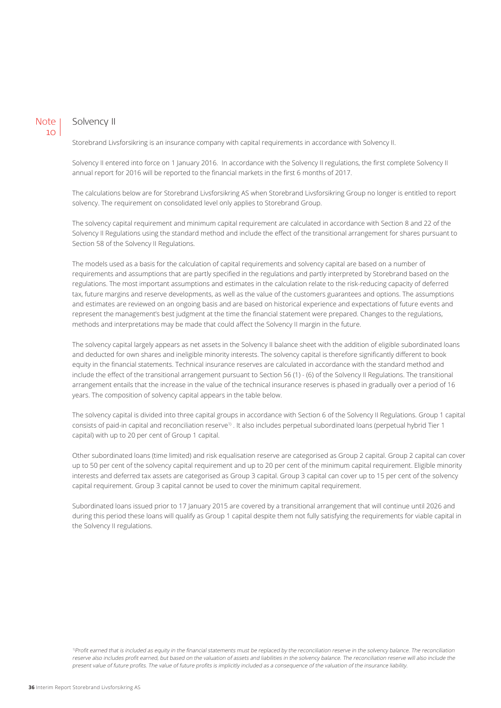### Note 10

### Solvency II

Storebrand Livsforsikring is an insurance company with capital requirements in accordance with Solvency II.

Solvency II entered into force on 1 January 2016. In accordance with the Solvency II regulations, the first complete Solvency II annual report for 2016 will be reported to the financial markets in the first 6 months of 2017.

The calculations below are for Storebrand Livsforsikring AS when Storebrand Livsforsikring Group no longer is entitled to report solvency. The requirement on consolidated level only applies to Storebrand Group.

The solvency capital requirement and minimum capital requirement are calculated in accordance with Section 8 and 22 of the Solvency II Regulations using the standard method and include the effect of the transitional arrangement for shares pursuant to Section 58 of the Solvency II Regulations.

The models used as a basis for the calculation of capital requirements and solvency capital are based on a number of requirements and assumptions that are partly specified in the regulations and partly interpreted by Storebrand based on the regulations. The most important assumptions and estimates in the calculation relate to the risk-reducing capacity of deferred tax, future margins and reserve developments, as well as the value of the customers guarantees and options. The assumptions and estimates are reviewed on an ongoing basis and are based on historical experience and expectations of future events and represent the management's best judgment at the time the financial statement were prepared. Changes to the regulations, methods and interpretations may be made that could affect the Solvency II margin in the future.

The solvency capital largely appears as net assets in the Solvency II balance sheet with the addition of eligible subordinated loans and deducted for own shares and ineligible minority interests. The solvency capital is therefore significantly different to book equity in the financial statements. Technical insurance reserves are calculated in accordance with the standard method and include the effect of the transitional arrangement pursuant to Section 56 (1) - (6) of the Solvency II Regulations. The transitional arrangement entails that the increase in the value of the technical insurance reserves is phased in gradually over a period of 16 years. The composition of solvency capital appears in the table below.

The solvency capital is divided into three capital groups in accordance with Section 6 of the Solvency II Regulations. Group 1 capital consists of paid-in capital and reconciliation reserve1) . It also includes perpetual subordinated loans (perpetual hybrid Tier 1 capital) with up to 20 per cent of Group 1 capital.

Other subordinated loans (time limited) and risk equalisation reserve are categorised as Group 2 capital. Group 2 capital can cover up to 50 per cent of the solvency capital requirement and up to 20 per cent of the minimum capital requirement. Eligible minority interests and deferred tax assets are categorised as Group 3 capital. Group 3 capital can cover up to 15 per cent of the solvency capital requirement. Group 3 capital cannot be used to cover the minimum capital requirement.

Subordinated loans issued prior to 17 January 2015 are covered by a transitional arrangement that will continue until 2026 and during this period these loans will qualify as Group 1 capital despite them not fully satisfying the requirements for viable capital in the Solvency II regulations.

1)Profit earned that is included as equity in the financial statements must be replaced by the reconciliation reserve in the solvency balance. The reconciliation reserve also includes profit earned, but based on the valuation of assets and liabilities in the solvency balance. The reconciliation reserve will also include the present value of future profits. The value of future profits is implicitly included as a consequence of the valuation of the insurance liability.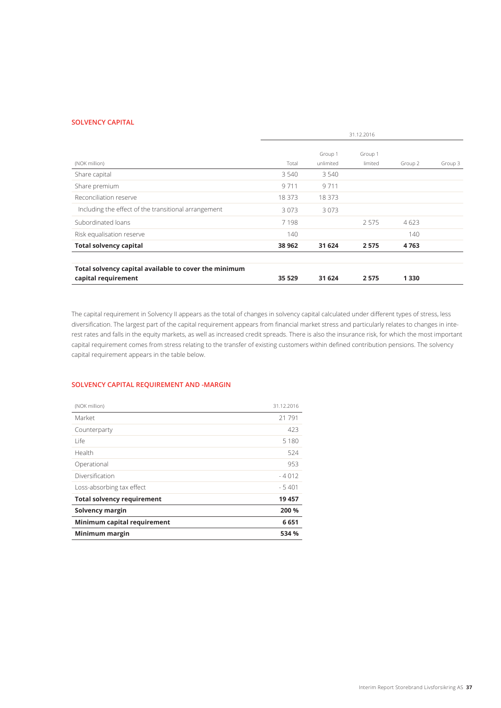#### **SOLVENCY CAPITAL**

|                                                       | 31.12.2016 |           |         |         |         |
|-------------------------------------------------------|------------|-----------|---------|---------|---------|
|                                                       |            | Group 1   | Group 1 |         |         |
| (NOK million)                                         | Total      | unlimited | limited | Group 2 | Group 3 |
| Share capital                                         | 3 5 4 0    | 3 5 4 0   |         |         |         |
| Share premium                                         | 9711       | 9711      |         |         |         |
| Reconciliation reserve                                | 18 373     | 18 373    |         |         |         |
| Including the effect of the transitional arrangement  | 3073       | 3073      |         |         |         |
| Subordinated loans                                    | 7198       |           | 2575    | 4623    |         |
| Risk equalisation reserve                             | 140        |           |         | 140     |         |
| <b>Total solvency capital</b>                         | 38 962     | 31 624    | 2575    | 4763    |         |
| Total solvency capital available to cover the minimum |            |           |         |         |         |
| capital requirement                                   | 35 5 29    | 31 624    | 2575    | 1 3 3 0 |         |

The capital requirement in Solvency II appears as the total of changes in solvency capital calculated under different types of stress, less diversification. The largest part of the capital requirement appears from financial market stress and particularly relates to changes in interest rates and falls in the equity markets, as well as increased credit spreads. There is also the insurance risk, for which the most important capital requirement comes from stress relating to the transfer of existing customers within defined contribution pensions. The solvency capital requirement appears in the table below.

### **SOLVENCY CAPITAL REQUIREMENT AND -MARGIN**

| (NOK million)                     | 31.12.2016 |
|-----------------------------------|------------|
| Market                            | 21791      |
| Counterparty                      | 423        |
| l ife                             | 5 1 8 0    |
| Health                            | 524        |
| Operational                       | 953        |
| Diversification                   | $-4012$    |
| Loss-absorbing tax effect         | $-5401$    |
| <b>Total solvency requirement</b> | 19 457     |
| Solvency margin                   | 200 %      |
| Minimum capital requirement       | 6651       |
| Minimum margin                    | 534 %      |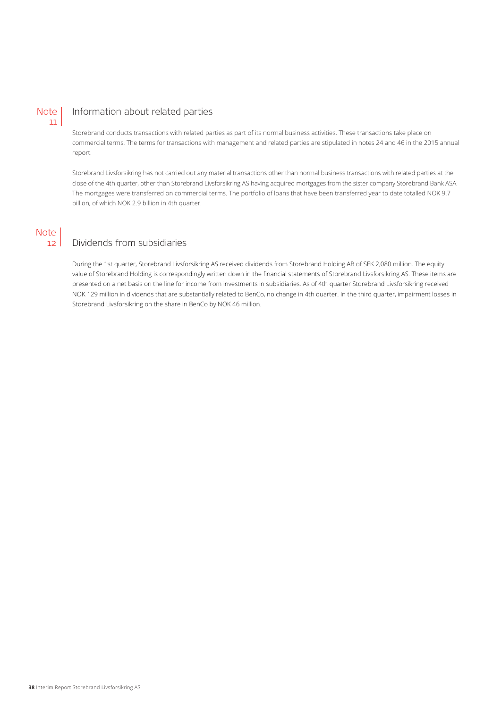#### Information about related parties **Note** 11

Storebrand conducts transactions with related parties as part of its normal business activities. These transactions take place on commercial terms. The terms for transactions with management and related parties are stipulated in notes 24 and 46 in the 2015 annual report.

Storebrand Livsforsikring has not carried out any material transactions other than normal business transactions with related parties at the close of the 4th quarter, other than Storebrand Livsforsikring AS having acquired mortgages from the sister company Storebrand Bank ASA. The mortgages were transferred on commercial terms. The portfolio of loans that have been transferred year to date totalled NOK 9.7 billion, of which NOK 2.9 billion in 4th quarter.

#### Dividends from subsidiaries Note 12

During the 1st quarter, Storebrand Livsforsikring AS received dividends from Storebrand Holding AB of SEK 2,080 million. The equity value of Storebrand Holding is correspondingly written down in the financial statements of Storebrand Livsforsikring AS. These items are presented on a net basis on the line for income from investments in subsidiaries. As of 4th quarter Storebrand Livsforsikring received NOK 129 million in dividends that are substantially related to BenCo, no change in 4th quarter. In the third quarter, impairment losses in Storebrand Livsforsikring on the share in BenCo by NOK 46 million.